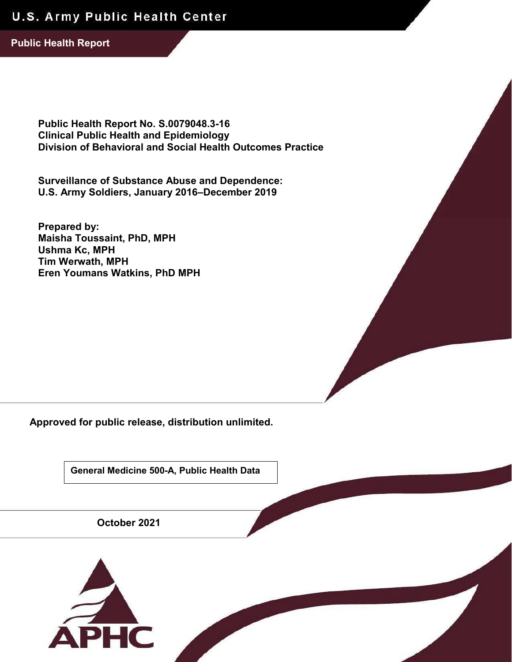# U.S. Army Public Health Center

**Public Health Report**

**Public Health Report No. S.0079048.3-16 Clinical Public Health and Epidemiology Division of Behavioral and Social Health Outcomes Practice**

**Surveillance of Substance Abuse and Dependence: U.S. Army Soldiers, January 2016–December 2019**

**Prepared by: Maisha Toussaint, PhD, MPH Ushma Kc, MPH Tim Werwath, MPH Eren Youmans Watkins, PhD MPH**

**Approved for public release, distribution unlimited.**

**General Medicine 500-A, Public Health Data**

**October 2021**

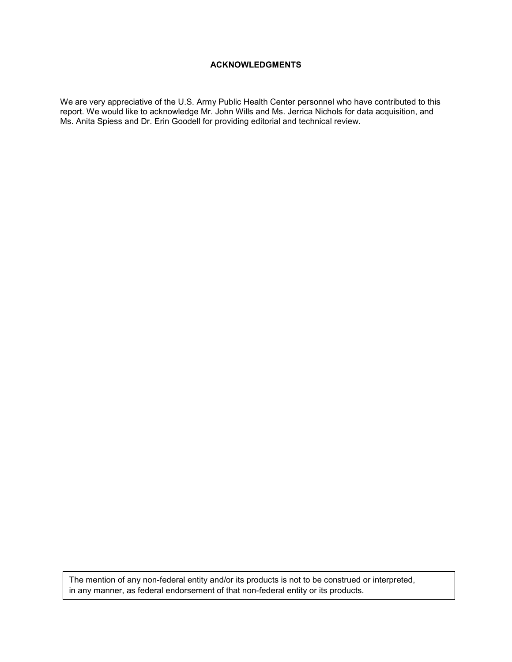#### **ACKNOWLEDGMENTS**

We are very appreciative of the U.S. Army Public Health Center personnel who have contributed to this report. We would like to acknowledge Mr. John Wills and Ms. Jerrica Nichols for data acquisition, and Ms. Anita Spiess and Dr. Erin Goodell for providing editorial and technical review.

The mention of any non-federal entity and/or its products is not to be construed or interpreted, in any manner, as federal endorsement of that non-federal entity or its products.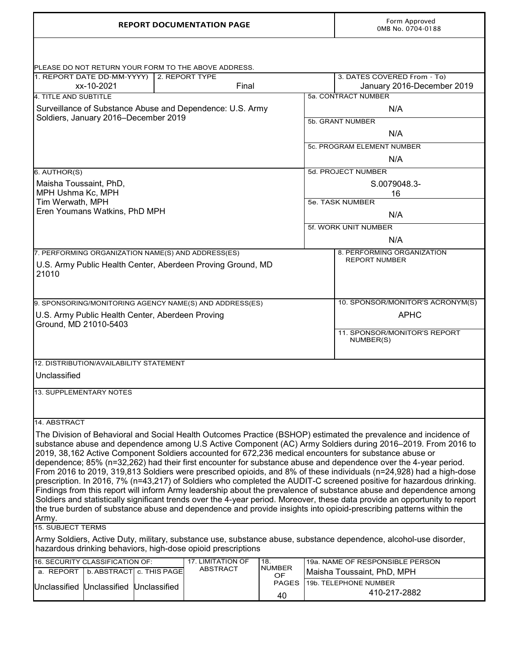| <b>REPORT DOCUMENTATION PAGE</b>                                                                                                                                                                                                                  |                                                                                                                   | Form Approved<br>0MB No. 0704-0188 |             |                                                     |  |  |
|---------------------------------------------------------------------------------------------------------------------------------------------------------------------------------------------------------------------------------------------------|-------------------------------------------------------------------------------------------------------------------|------------------------------------|-------------|-----------------------------------------------------|--|--|
| PLEASE DO NOT RETURN YOUR FORM TO THE ABOVE ADDRESS.                                                                                                                                                                                              |                                                                                                                   |                                    |             |                                                     |  |  |
| 1. REPORT DATE DD-MM-YYYY)                                                                                                                                                                                                                        | 2. REPORT TYPE                                                                                                    |                                    |             | 3. DATES COVERED From - To)                         |  |  |
| xx-10-2021                                                                                                                                                                                                                                        | Final                                                                                                             |                                    |             | January 2016-December 2019                          |  |  |
| 4. TITLE AND SUBTITLE                                                                                                                                                                                                                             |                                                                                                                   |                                    |             | 5a. CONTRACT NUMBER                                 |  |  |
| Surveillance of Substance Abuse and Dependence: U.S. Army                                                                                                                                                                                         |                                                                                                                   |                                    |             | N/A                                                 |  |  |
| Soldiers, January 2016-December 2019                                                                                                                                                                                                              |                                                                                                                   |                                    |             | 5b. GRANT NUMBER                                    |  |  |
|                                                                                                                                                                                                                                                   |                                                                                                                   |                                    |             | N/A                                                 |  |  |
|                                                                                                                                                                                                                                                   |                                                                                                                   |                                    |             |                                                     |  |  |
|                                                                                                                                                                                                                                                   |                                                                                                                   |                                    |             | 5c. PROGRAM ELEMENT NUMBER                          |  |  |
|                                                                                                                                                                                                                                                   |                                                                                                                   |                                    |             | N/A                                                 |  |  |
| 6. AUTHOR(S)                                                                                                                                                                                                                                      |                                                                                                                   |                                    |             | 5d. PROJECT NUMBER                                  |  |  |
| Maisha Toussaint, PhD,                                                                                                                                                                                                                            |                                                                                                                   |                                    |             | S.0079048.3-                                        |  |  |
| MPH Ushma Kc, MPH                                                                                                                                                                                                                                 |                                                                                                                   |                                    |             | 16                                                  |  |  |
| Tim Werwath, MPH                                                                                                                                                                                                                                  |                                                                                                                   |                                    |             | 5e. TASK NUMBER                                     |  |  |
| Eren Youmans Watkins, PhD MPH                                                                                                                                                                                                                     |                                                                                                                   |                                    |             | N/A                                                 |  |  |
|                                                                                                                                                                                                                                                   |                                                                                                                   |                                    |             | 5f. WORK UNIT NUMBER                                |  |  |
|                                                                                                                                                                                                                                                   |                                                                                                                   |                                    |             | N/A                                                 |  |  |
| 7. PERFORMING ORGANIZATION NAME(S) AND ADDRESS(ES)                                                                                                                                                                                                |                                                                                                                   |                                    |             | 8. PERFORMING ORGANIZATION                          |  |  |
| U.S. Army Public Health Center, Aberdeen Proving Ground, MD                                                                                                                                                                                       |                                                                                                                   |                                    |             | <b>REPORT NUMBER</b>                                |  |  |
| 21010                                                                                                                                                                                                                                             |                                                                                                                   |                                    |             |                                                     |  |  |
|                                                                                                                                                                                                                                                   |                                                                                                                   |                                    |             |                                                     |  |  |
|                                                                                                                                                                                                                                                   |                                                                                                                   |                                    |             |                                                     |  |  |
| 9. SPONSORING/MONITORING AGENCY NAME(S) AND ADDRESS(ES)                                                                                                                                                                                           |                                                                                                                   |                                    |             | 10. SPONSOR/MONITOR'S ACRONYM(S)                    |  |  |
| U.S. Army Public Health Center, Aberdeen Proving<br>Ground, MD 21010-5403                                                                                                                                                                         |                                                                                                                   |                                    | <b>APHC</b> |                                                     |  |  |
|                                                                                                                                                                                                                                                   |                                                                                                                   | 11. SPONSOR/MONITOR'S REPORT       |             |                                                     |  |  |
|                                                                                                                                                                                                                                                   |                                                                                                                   | NUMBER(S)                          |             |                                                     |  |  |
|                                                                                                                                                                                                                                                   |                                                                                                                   |                                    |             |                                                     |  |  |
| 12. DISTRIBUTION/AVAILABILITY STATEMENT                                                                                                                                                                                                           |                                                                                                                   |                                    |             |                                                     |  |  |
| Unclassified                                                                                                                                                                                                                                      |                                                                                                                   |                                    |             |                                                     |  |  |
|                                                                                                                                                                                                                                                   |                                                                                                                   |                                    |             |                                                     |  |  |
| 13. SUPPLEMENTARY NOTES                                                                                                                                                                                                                           |                                                                                                                   |                                    |             |                                                     |  |  |
|                                                                                                                                                                                                                                                   |                                                                                                                   |                                    |             |                                                     |  |  |
|                                                                                                                                                                                                                                                   |                                                                                                                   |                                    |             |                                                     |  |  |
| 14. ABSTRACT                                                                                                                                                                                                                                      |                                                                                                                   |                                    |             |                                                     |  |  |
| The Division of Behavioral and Social Health Outcomes Practice (BSHOP) estimated the prevalence and incidence of                                                                                                                                  |                                                                                                                   |                                    |             |                                                     |  |  |
| substance abuse and dependence among U.S Active Component (AC) Army Soldiers during 2016–2019. From 2016 to<br>2019, 38,162 Active Component Soldiers accounted for 672,236 medical encounters for substance abuse or                             |                                                                                                                   |                                    |             |                                                     |  |  |
| dependence; 85% (n=32,262) had their first encounter for substance abuse and dependence over the 4-year period.                                                                                                                                   |                                                                                                                   |                                    |             |                                                     |  |  |
| From 2016 to 2019, 319,813 Soldiers were prescribed opioids, and 8% of these individuals (n=24,928) had a high-dose                                                                                                                               |                                                                                                                   |                                    |             |                                                     |  |  |
| prescription. In 2016, 7% (n=43,217) of Soldiers who completed the AUDIT-C screened positive for hazardous drinking.                                                                                                                              |                                                                                                                   |                                    |             |                                                     |  |  |
| Findings from this report will inform Army leadership about the prevalence of substance abuse and dependence among                                                                                                                                |                                                                                                                   |                                    |             |                                                     |  |  |
| Soldiers and statistically significant trends over the 4-year period. Moreover, these data provide an opportunity to report<br>the true burden of substance abuse and dependence and provide insights into opioid-prescribing patterns within the |                                                                                                                   |                                    |             |                                                     |  |  |
|                                                                                                                                                                                                                                                   |                                                                                                                   |                                    |             |                                                     |  |  |
| Army.<br><b>15. SUBJECT TERMS</b>                                                                                                                                                                                                                 |                                                                                                                   |                                    |             |                                                     |  |  |
|                                                                                                                                                                                                                                                   | Army Soldiers, Active Duty, military, substance use, substance abuse, substance dependence, alcohol-use disorder, |                                    |             |                                                     |  |  |
|                                                                                                                                                                                                                                                   |                                                                                                                   |                                    |             |                                                     |  |  |
|                                                                                                                                                                                                                                                   |                                                                                                                   |                                    |             |                                                     |  |  |
| hazardous drinking behaviors, high-dose opioid prescriptions                                                                                                                                                                                      |                                                                                                                   |                                    |             |                                                     |  |  |
| 16. SECURITY CLASSIFICATION OF:                                                                                                                                                                                                                   | <b>17. LIMITATION OF</b><br><b>ABSTRACT</b>                                                                       | 18.<br><b>NUMBER</b>               |             | 19a. NAME OF RESPONSIBLE PERSON                     |  |  |
| a. REPORT<br>b. ABSTRACT c. THIS PAGE<br>Unclassified<br>Unclassified<br>Unclassified                                                                                                                                                             |                                                                                                                   | <b>OF</b><br><b>PAGES</b>          |             | Maisha Toussaint, PhD, MPH<br>19b. TELEPHONE NUMBER |  |  |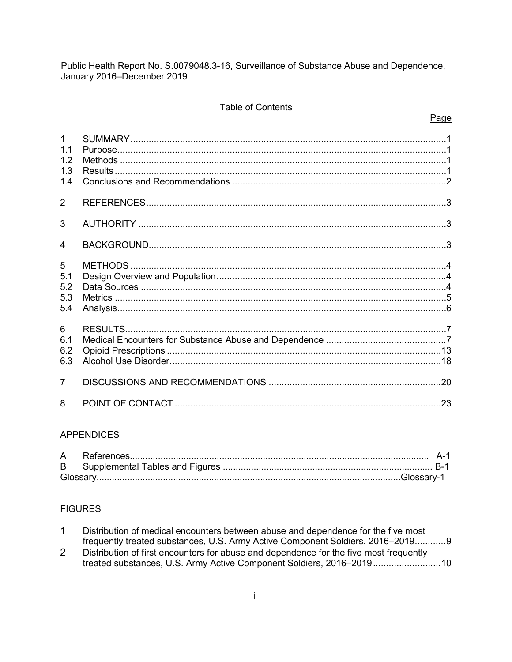#### **Table of Contents**

#### Page

| $\mathbf{1}$<br>1.1<br>1.2<br>1.3<br>1.4 |  |
|------------------------------------------|--|
| 2                                        |  |
| 3                                        |  |
| 4                                        |  |
| 5<br>5.1<br>5.2<br>5.3<br>5.4            |  |
| 6<br>6.1<br>6.2<br>6.3                   |  |
| $\overline{7}$                           |  |
| 8                                        |  |

#### **APPENDICES**

#### **FIGURES**

| Distribution of medical encounters between abuse and dependence for the five most |
|-----------------------------------------------------------------------------------|
| frequently treated substances, U.S. Army Active Component Soldiers, 2016–20199    |

Distribution of first encounters for abuse and dependence for the five most frequently  $\overline{2}$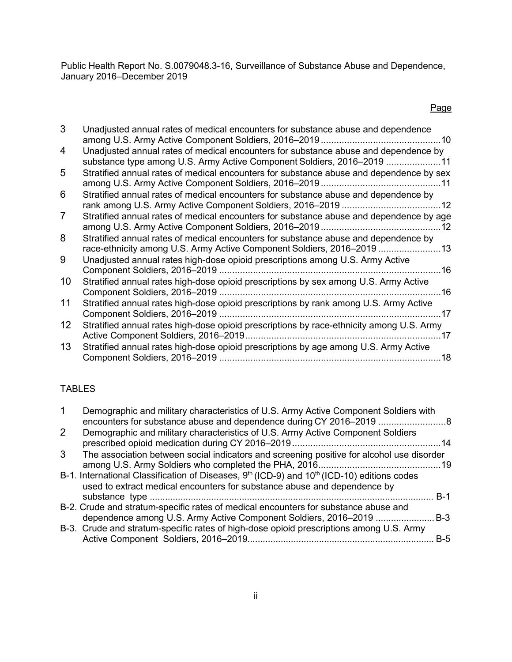## Page

| 3                 | Unadjusted annual rates of medical encounters for substance abuse and dependence                                                                              |
|-------------------|---------------------------------------------------------------------------------------------------------------------------------------------------------------|
| 4                 | Unadjusted annual rates of medical encounters for substance abuse and dependence by<br>substance type among U.S. Army Active Component Soldiers, 2016–2019 11 |
| 5                 | Stratified annual rates of medical encounters for substance abuse and dependence by sex                                                                       |
| 6                 | Stratified annual rates of medical encounters for substance abuse and dependence by                                                                           |
| 7                 | Stratified annual rates of medical encounters for substance abuse and dependence by age                                                                       |
| 8                 | Stratified annual rates of medical encounters for substance abuse and dependence by<br>race-ethnicity among U.S. Army Active Component Soldiers, 2016–2019 13 |
| 9                 | Unadjusted annual rates high-dose opioid prescriptions among U.S. Army Active                                                                                 |
| 10                | Stratified annual rates high-dose opioid prescriptions by sex among U.S. Army Active<br>.16                                                                   |
| 11                | Stratified annual rates high-dose opioid prescriptions by rank among U.S. Army Active<br>17                                                                   |
| $12 \overline{ }$ | Stratified annual rates high-dose opioid prescriptions by race-ethnicity among U.S. Army<br>-17                                                               |
| 13                | Stratified annual rates high-dose opioid prescriptions by age among U.S. Army Active<br>.18                                                                   |
|                   |                                                                                                                                                               |

## TABLES

| Demographic and military characteristics of U.S. Army Active Component Soldiers with                                |       |
|---------------------------------------------------------------------------------------------------------------------|-------|
| encounters for substance abuse and dependence during CY 2016–2019 8                                                 |       |
| 2<br>Demographic and military characteristics of U.S. Army Active Component Soldiers                                |       |
|                                                                                                                     |       |
| The association between social indicators and screening positive for alcohol use disorder<br>3                      |       |
|                                                                                                                     |       |
| B-1. International Classification of Diseases, 9 <sup>th</sup> (ICD-9) and 10 <sup>th</sup> (ICD-10) editions codes |       |
| used to extract medical encounters for substance abuse and dependence by                                            |       |
|                                                                                                                     | $B-1$ |
| B-2. Crude and stratum-specific rates of medical encounters for substance abuse and                                 |       |
| dependence among U.S. Army Active Component Soldiers, 2016–2019                                                     | .B-3  |
| B-3. Crude and stratum-specific rates of high-dose opioid prescriptions among U.S. Army                             |       |
|                                                                                                                     | $B-5$ |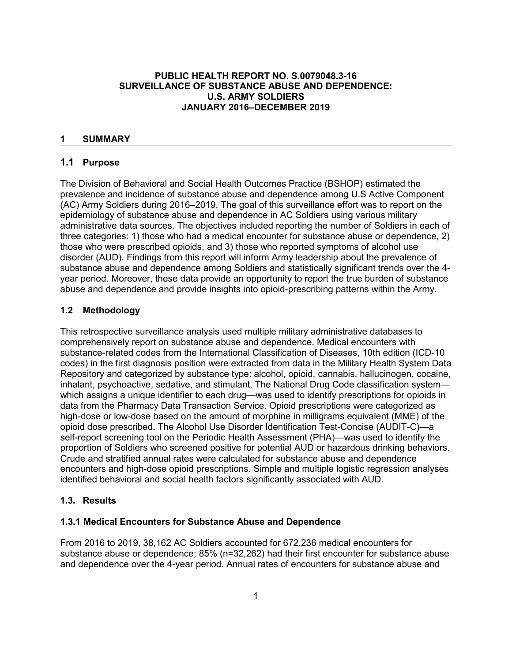#### **PUBLIC HEALTH REPORT NO. S.0079048.3-16 SURVEILLANCE OF SUBSTANCE ABUSE AND DEPENDENCE: U.S. ARMY SOLDIERS JANUARY 2016–DECEMBER 2019**

#### <span id="page-5-0"></span>**1 SUMMARY**

#### <span id="page-5-1"></span>**1.1 Purpose**

The Division of Behavioral and Social Health Outcomes Practice (BSHOP) estimated the prevalence and incidence of substance abuse and dependence among U.S Active Component (AC) Army Soldiers during 2016–2019. The goal of this surveillance effort was to report on the epidemiology of substance abuse and dependence in AC Soldiers using various military administrative data sources. The objectives included reporting the number of Soldiers in each of three categories: 1) those who had a medical encounter for substance abuse or dependence, 2) those who were prescribed opioids, and 3) those who reported symptoms of alcohol use disorder (AUD). Findings from this report will inform Army leadership about the prevalence of substance abuse and dependence among Soldiers and statistically significant trends over the 4 year period. Moreover, these data provide an opportunity to report the true burden of substance abuse and dependence and provide insights into opioid-prescribing patterns within the Army.

#### **1.2 Methodology**

This retrospective surveillance analysis used multiple military administrative databases to comprehensively report on substance abuse and dependence. Medical encounters with substance-related codes from the International Classification of Diseases, 10th edition (ICD-10 codes) in the first diagnosis position were extracted from data in the Military Health System Data Repository and categorized by substance type: alcohol, opioid, cannabis, hallucinogen, cocaine, inhalant, psychoactive, sedative, and stimulant. The National Drug Code classification system which assigns a unique identifier to each drug—was used to identify prescriptions for opioids in data from the Pharmacy Data Transaction Service. Opioid prescriptions were categorized as high-dose or low-dose based on the amount of morphine in milligrams equivalent (MME) of the opioid dose prescribed. The Alcohol Use Disorder Identification Test-Concise (AUDIT-C)—a self-report screening tool on the Periodic Health Assessment (PHA)—was used to identify the proportion of Soldiers who screened positive for potential AUD or hazardous drinking behaviors. Crude and stratified annual rates were calculated for substance abuse and dependence encounters and high-dose opioid prescriptions. Simple and multiple logistic regression analyses identified behavioral and social health factors significantly associated with AUD.

## <span id="page-5-2"></span>**1.3. Results**

#### **1.3.1 Medical Encounters for Substance Abuse and Dependence**

From 2016 to 2019, 38,162 AC Soldiers accounted for 672,236 medical encounters for substance abuse or dependence; 85% (n=32,262) had their first encounter for substance abuse and dependence over the 4-year period. Annual rates of encounters for substance abuse and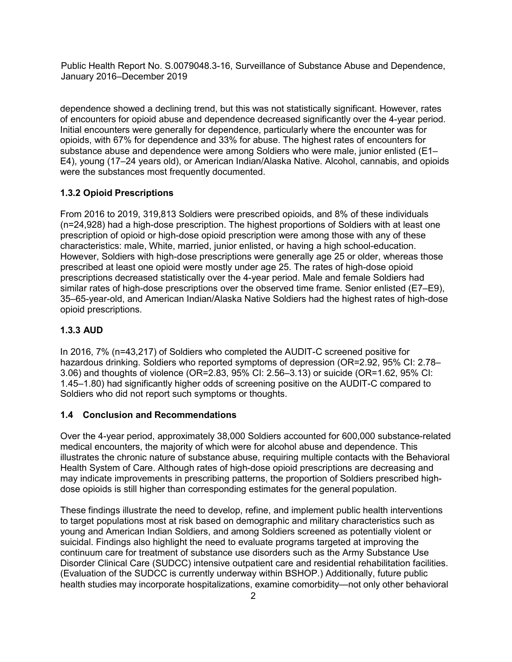dependence showed a declining trend, but this was not statistically significant. However, rates of encounters for opioid abuse and dependence decreased significantly over the 4-year period. Initial encounters were generally for dependence, particularly where the encounter was for opioids, with 67% for dependence and 33% for abuse. The highest rates of encounters for substance abuse and dependence were among Soldiers who were male, junior enlisted (E1– E4), young (17–24 years old), or American Indian/Alaska Native. Alcohol, cannabis, and opioids were the substances most frequently documented.

## **1.3.2 Opioid Prescriptions**

From 2016 to 2019, 319,813 Soldiers were prescribed opioids, and 8% of these individuals (n=24,928) had a high-dose prescription. The highest proportions of Soldiers with at least one prescription of opioid or high-dose opioid prescription were among those with any of these characteristics: male, White, married, junior enlisted, or having a high school-education. However, Soldiers with high-dose prescriptions were generally age 25 or older, whereas those prescribed at least one opioid were mostly under age 25. The rates of high-dose opioid prescriptions decreased statistically over the 4-year period. Male and female Soldiers had similar rates of high-dose prescriptions over the observed time frame. Senior enlisted (E7–E9), 35–65-year-old, and American Indian/Alaska Native Soldiers had the highest rates of high-dose opioid prescriptions.

## **1.3.3 AUD**

In 2016, 7% (n=43,217) of Soldiers who completed the AUDIT-C screened positive for hazardous drinking. Soldiers who reported symptoms of depression (OR=2.92, 95% CI: 2.78– 3.06) and thoughts of violence (OR=2.83, 95% CI: 2.56–3.13) or suicide (OR=1.62, 95% CI: 1.45–1.80) had significantly higher odds of screening positive on the AUDIT-C compared to Soldiers who did not report such symptoms or thoughts.

#### **1.4 Conclusion and Recommendations**

Over the 4-year period, approximately 38,000 Soldiers accounted for 600,000 substance-related medical encounters, the majority of which were for alcohol abuse and dependence. This illustrates the chronic nature of substance abuse, requiring multiple contacts with the Behavioral Health System of Care. Although rates of high-dose opioid prescriptions are decreasing and may indicate improvements in prescribing patterns, the proportion of Soldiers prescribed highdose opioids is still higher than corresponding estimates for the general population.

These findings illustrate the need to develop, refine, and implement public health interventions to target populations most at risk based on demographic and military characteristics such as young and American Indian Soldiers, and among Soldiers screened as potentially violent or suicidal. Findings also highlight the need to evaluate programs targeted at improving the continuum care for treatment of substance use disorders such as the Army Substance Use Disorder Clinical Care (SUDCC) intensive outpatient care and residential rehabilitation facilities. (Evaluation of the SUDCC is currently underway within BSHOP.) Additionally, future public health studies may incorporate hospitalizations, examine comorbidity—not only other behavioral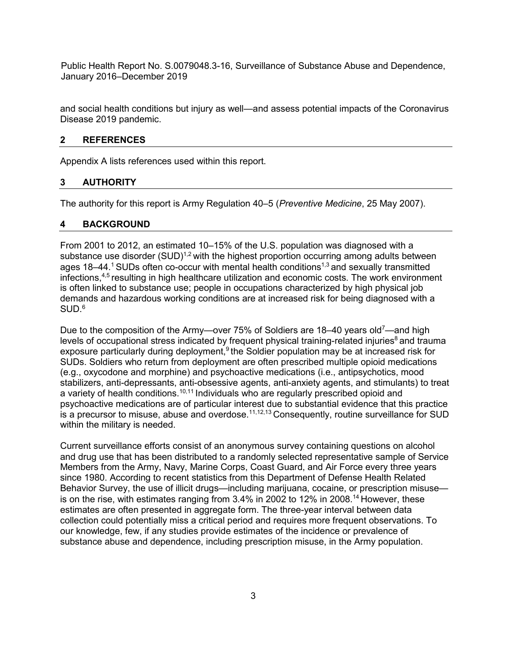and social health conditions but injury as well—and assess potential impacts of the Coronavirus Disease 2019 pandemic.

#### <span id="page-7-0"></span>**2 REFERENCES**

Appendix A lists references used within this report.

#### <span id="page-7-1"></span>**3 AUTHORITY**

The authority for this report is Army Regulation 40–5 (*Preventive Medicine*, 25 May 2007).

#### <span id="page-7-2"></span>**4 BACKGROUND**

From 2001 to 2012, an estimated 10–15% of the U.S. population was diagnosed with a substance use disorder  $(SUD)^{1,2}$  with the highest proportion occurring among adults between ages 18–44.<sup>1</sup> SUDs often co-occur with mental health conditions<sup>1,3</sup> and sexually transmitted infections,4,5 resulting in high healthcare utilization and economic costs. The work environment is often linked to substance use; people in occupations characterized by high physical job demands and hazardous working conditions are at increased risk for being diagnosed with a SUD.6

Due to the composition of the Army—over 75% of Soldiers are 18–40 years old<sup>7</sup>—and high levels of occupational stress indicated by frequent physical training-related injuries<sup>8</sup> and trauma exposure particularly during deployment, $9$  the Soldier population may be at increased risk for SUDs. Soldiers who return from deployment are often prescribed multiple opioid medications (e.g., oxycodone and morphine) and psychoactive medications (i.e., antipsychotics, mood stabilizers, anti-depressants, anti-obsessive agents, anti-anxiety agents, and stimulants) to treat a variety of health conditions.<sup>10,11</sup> Individuals who are regularly prescribed opioid and psychoactive medications are of particular interest due to substantial evidence that this practice is a precursor to misuse, abuse and overdose.<sup>11,12,13</sup> Consequently, routine surveillance for SUD within the military is needed.

Current surveillance efforts consist of an anonymous survey containing questions on alcohol and drug use that has been distributed to a randomly selected representative sample of Service Members from the Army, Navy, Marine Corps, Coast Guard, and Air Force every three years since 1980. According to recent statistics from this Department of Defense Health Related Behavior Survey, the use of illicit drugs—including marijuana, cocaine, or prescription misuse is on the rise, with estimates ranging from  $3.4\%$  in 2002 to 12% in 2008.<sup>14</sup> However, these estimates are often presented in aggregate form. The three-year interval between data collection could potentially miss a critical period and requires more frequent observations. To our knowledge, few, if any studies provide estimates of the incidence or prevalence of substance abuse and dependence, including prescription misuse, in the Army population.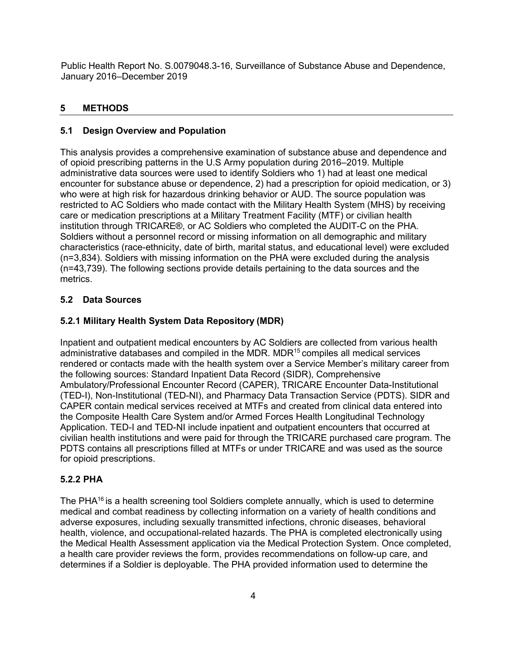## <span id="page-8-0"></span>**5 METHODS**

## <span id="page-8-1"></span>**5.1 Design Overview and Population**

This analysis provides a comprehensive examination of substance abuse and dependence and of opioid prescribing patterns in the U.S Army population during 2016–2019. Multiple administrative data sources were used to identify Soldiers who 1) had at least one medical encounter for substance abuse or dependence, 2) had a prescription for opioid medication, or 3) who were at high risk for hazardous drinking behavior or AUD. The source population was restricted to AC Soldiers who made contact with the Military Health System (MHS) by receiving care or medication prescriptions at a Military Treatment Facility (MTF) or civilian health institution through TRICARE®, or AC Soldiers who completed the AUDIT-C on the PHA. Soldiers without a personnel record or missing information on all demographic and military characteristics (race-ethnicity, date of birth, marital status, and educational level) were excluded (n=3,834). Soldiers with missing information on the PHA were excluded during the analysis (n=43,739). The following sections provide details pertaining to the data sources and the metrics.

## <span id="page-8-2"></span>**5.2 Data Sources**

## **5.2.1 Military Health System Data Repository (MDR)**

Inpatient and outpatient medical encounters by AC Soldiers are collected from various health administrative databases and compiled in the MDR. MDR<sup>15</sup> compiles all medical services rendered or contacts made with the health system over a Service Member's military career from the following sources: Standard Inpatient Data Record (SIDR), Comprehensive Ambulatory/Professional Encounter Record (CAPER), TRICARE Encounter Data-Institutional (TED-I), Non-Institutional (TED-NI), and Pharmacy Data Transaction Service (PDTS). SIDR and CAPER contain medical services received at MTFs and created from clinical data entered into the Composite Health Care System and/or Armed Forces Health Longitudinal Technology Application. TED-I and TED-NI include inpatient and outpatient encounters that occurred at civilian health institutions and were paid for through the TRICARE purchased care program. The PDTS contains all prescriptions filled at MTFs or under TRICARE and was used as the source for opioid prescriptions.

## **5.2.2 PHA**

The PHA $16$  is a health screening tool Soldiers complete annually, which is used to determine medical and combat readiness by collecting information on a variety of health conditions and adverse exposures, including sexually transmitted infections, chronic diseases, behavioral health, violence, and occupational-related hazards. The PHA is completed electronically using the Medical Health Assessment application via the Medical Protection System. Once completed, a health care provider reviews the form, provides recommendations on follow-up care, and determines if a Soldier is deployable. The PHA provided information used to determine the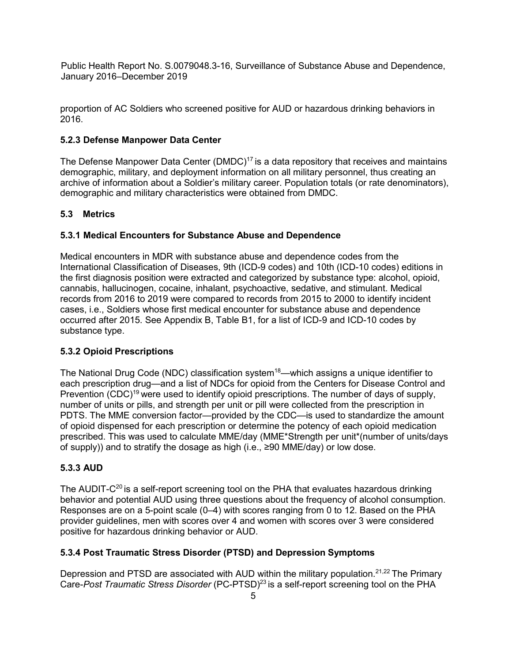proportion of AC Soldiers who screened positive for AUD or hazardous drinking behaviors in 2016.

#### **5.2.3 Defense Manpower Data Center**

The Defense Manpower Data Center (DMDC)<sup>17</sup> is a data repository that receives and maintains demographic, military, and deployment information on all military personnel, thus creating an archive of information about a Soldier's military career. Population totals (or rate denominators), demographic and military characteristics were obtained from DMDC.

#### <span id="page-9-0"></span>**5.3 Metrics**

#### **5.3.1 Medical Encounters for Substance Abuse and Dependence**

Medical encounters in MDR with substance abuse and dependence codes from the International Classification of Diseases, 9th (ICD-9 codes) and 10th (ICD-10 codes) editions in the first diagnosis position were extracted and categorized by substance type: alcohol, opioid, cannabis, hallucinogen, cocaine, inhalant, psychoactive, sedative, and stimulant. Medical records from 2016 to 2019 were compared to records from 2015 to 2000 to identify incident cases, i.e., Soldiers whose first medical encounter for substance abuse and dependence occurred after 2015. See Appendix B, Table B1, for a list of ICD-9 and ICD-10 codes by substance type.

#### **5.3.2 Opioid Prescriptions**

The National Drug Code (NDC) classification system<sup>18</sup>—which assigns a unique identifier to each prescription drug—and a list of NDCs for opioid from the Centers for Disease Control and Prevention  $(CDC)^{19}$  were used to identify opioid prescriptions. The number of days of supply, number of units or pills, and strength per unit or pill were collected from the prescription in PDTS. The MME conversion factor—provided by the CDC—is used to standardize the amount of opioid dispensed for each prescription or determine the potency of each opioid medication prescribed. This was used to calculate MME/day (MME\*Strength per unit\*(number of units/days of supply)) and to stratify the dosage as high (i.e., ≥90 MME/day) or low dose.

#### **5.3.3 AUD**

The AUDIT- $C^{20}$  is a self-report screening tool on the PHA that evaluates hazardous drinking behavior and potential AUD using three questions about the frequency of alcohol consumption. Responses are on a 5-point scale (0–4) with scores ranging from 0 to 12. Based on the PHA provider guidelines, men with scores over 4 and women with scores over 3 were considered positive for hazardous drinking behavior or AUD.

#### **5.3.4 Post Traumatic Stress Disorder (PTSD) and Depression Symptoms**

Depression and PTSD are associated with AUD within the military population.<sup>21,22</sup> The Primary Care-*Post Traumatic Stress Disorder* (PC-PTSD)23 is a self-report screening tool on the PHA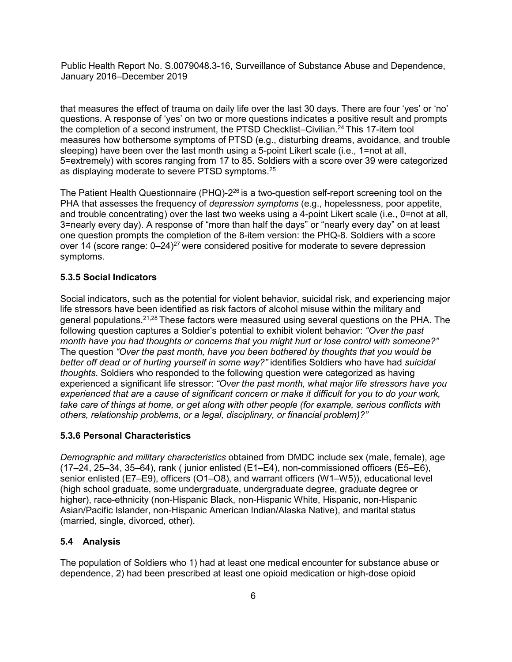that measures the effect of trauma on daily life over the last 30 days. There are four 'yes' or 'no' questions. A response of 'yes' on two or more questions indicates a positive result and prompts the completion of a second instrument, the PTSD Checklist–Civilian.<sup>24</sup> This 17-item tool measures how bothersome symptoms of PTSD (e.g., disturbing dreams, avoidance, and trouble sleeping) have been over the last month using a 5-point Likert scale (i.e., 1=not at all, 5=extremely) with scores ranging from 17 to 85. Soldiers with a score over 39 were categorized as displaying moderate to severe PTSD symptoms.25

The Patient Health Questionnaire (PHQ)-2<sup>26</sup> is a two-question self-report screening tool on the PHA that assesses the frequency of *depression symptoms* (e.g., hopelessness, poor appetite, and trouble concentrating) over the last two weeks using a 4-point Likert scale (i.e., 0=not at all, 3=nearly every day). A response of "more than half the days" or "nearly every day" on at least one question prompts the completion of the 8-item version: the PHQ-8. Soldiers with a score over 14 (score range:  $0-24$ )<sup>27</sup> were considered positive for moderate to severe depression symptoms.

#### **5.3.5 Social Indicators**

Social indicators, such as the potential for violent behavior, suicidal risk, and experiencing major life stressors have been identified as risk factors of alcohol misuse within the military and general populations.21,28 These factors were measured using several questions on the PHA. The following question captures a Soldier's potential to exhibit violent behavior: *"Over the past month have you had thoughts or concerns that you might hurt or lose control with someone?"*  The question *"Over the past month, have you been bothered by thoughts that you would be better off dead or of hurting yourself in some way?"* identifies Soldiers who have had *suicidal thoughts*. Soldiers who responded to the following question were categorized as having experienced a significant life stressor: *"Over the past month, what major life stressors have you experienced that are a cause of significant concern or make it difficult for you to do your work, take care of things at home, or get along with other people (for example, serious conflicts with others, relationship problems, or a legal, disciplinary, or financial problem)?"*

#### **5.3.6 Personal Characteristics**

*Demographic and military characteristics* obtained from DMDC include sex (male, female), age (17–24, 25–34, 35–64), rank ( junior enlisted (E1–E4), non-commissioned officers (E5–E6), senior enlisted (E7–E9), officers (O1–O8), and warrant officers (W1–W5)), educational level (high school graduate, some undergraduate, undergraduate degree, graduate degree or higher), race-ethnicity (non-Hispanic Black, non-Hispanic White, Hispanic, non-Hispanic Asian/Pacific Islander, non-Hispanic American Indian/Alaska Native), and marital status (married, single, divorced, other).

#### <span id="page-10-0"></span>**5.4 Analysis**

The population of Soldiers who 1) had at least one medical encounter for substance abuse or dependence, 2) had been prescribed at least one opioid medication or high-dose opioid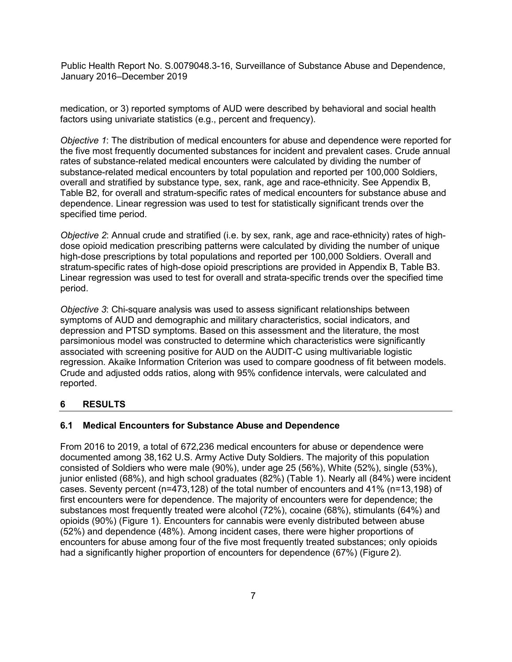medication, or 3) reported symptoms of AUD were described by behavioral and social health factors using univariate statistics (e.g., percent and frequency).

*Objective 1*: The distribution of medical encounters for abuse and dependence were reported for the five most frequently documented substances for incident and prevalent cases. Crude annual rates of substance-related medical encounters were calculated by dividing the number of substance-related medical encounters by total population and reported per 100,000 Soldiers, overall and stratified by substance type, sex, rank, age and race-ethnicity. See Appendix B, Table B2, for overall and stratum-specific rates of medical encounters for substance abuse and dependence. Linear regression was used to test for statistically significant trends over the specified time period.

*Objective 2*: Annual crude and stratified (i.e. by sex, rank, age and race-ethnicity) rates of highdose opioid medication prescribing patterns were calculated by dividing the number of unique high-dose prescriptions by total populations and reported per 100,000 Soldiers. Overall and stratum-specific rates of high-dose opioid prescriptions are provided in Appendix B, Table B3. Linear regression was used to test for overall and strata-specific trends over the specified time period.

*Objective 3*: Chi-square analysis was used to assess significant relationships between symptoms of AUD and demographic and military characteristics, social indicators, and depression and PTSD symptoms. Based on this assessment and the literature, the most parsimonious model was constructed to determine which characteristics were significantly associated with screening positive for AUD on the AUDIT-C using multivariable logistic regression. Akaike Information Criterion was used to compare goodness of fit between models. Crude and adjusted odds ratios, along with 95% confidence intervals, were calculated and reported.

## <span id="page-11-0"></span>**6 RESULTS**

## <span id="page-11-1"></span>**6.1 Medical Encounters for Substance Abuse and Dependence**

<span id="page-11-2"></span>From 2016 to 2019, a total of 672,236 medical encounters for abuse or dependence were documented among 38,162 U.S. Army Active Duty Soldiers. The majority of this population consisted of Soldiers who were male (90%), under age 25 (56%), White (52%), single (53%), junior enlisted (68%), and high school graduates (82%) (Table 1). Nearly all (84%) were incident cases. Seventy percent (n=473,128) of the total number of encounters and 41% (n=13,198) of first encounters were for dependence. The majority of encounters were for dependence; the substances most frequently treated were alcohol (72%), cocaine (68%), stimulants (64%) and opioids (90%) (Figure 1). Encounters for cannabis were evenly distributed between abuse (52%) and dependence (48%). Among incident cases, there were higher proportions of encounters for abuse among four of the five most frequently treated substances; only opioids had a significantly higher proportion of encounters for dependence (67%) (Figure 2).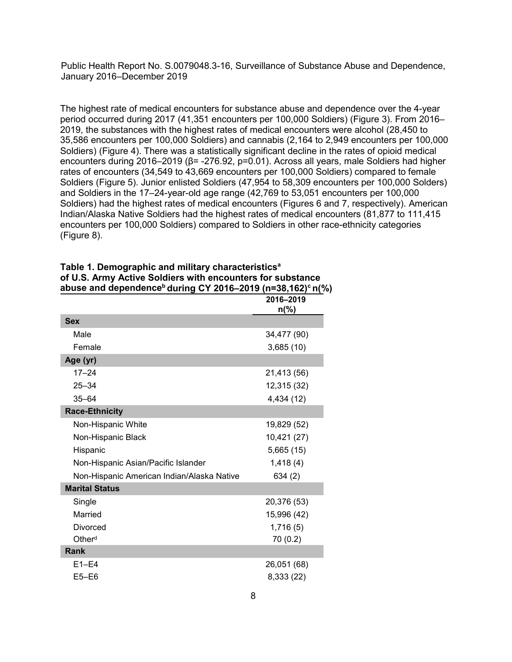The highest rate of medical encounters for substance abuse and dependence over the 4-year period occurred during 2017 (41,351 encounters per 100,000 Soldiers) (Figure 3). From 2016– 2019, the substances with the highest rates of medical encounters were alcohol (28,450 to 35,586 encounters per 100,000 Soldiers) and cannabis (2,164 to 2,949 encounters per 100,000 Soldiers) (Figure 4). There was a statistically significant decline in the rates of opioid medical encounters during 2016–2019 (β= -276.92, p=0.01). Across all years, male Soldiers had higher rates of encounters (34,549 to 43,669 encounters per 100,000 Soldiers) compared to female Soldiers (Figure 5). Junior enlisted Soldiers (47,954 to 58,309 encounters per 100,000 Solders) and Soldiers in the 17–24-year-old age range (42,769 to 53,051 encounters per 100,000 Soldiers) had the highest rates of medical encounters (Figures 6 and 7, respectively). American Indian/Alaska Native Soldiers had the highest rates of medical encounters (81,877 to 111,415 encounters per 100,000 Soldiers) compared to Soldiers in other race-ethnicity categories (Figure 8).

|                                            | 2016-2019<br>$n\frac{0}{0}$ |
|--------------------------------------------|-----------------------------|
| <b>Sex</b>                                 |                             |
| Male                                       | 34,477 (90)                 |
| Female                                     | 3,685 (10)                  |
| Age (yr)                                   |                             |
| $17 - 24$                                  | 21,413 (56)                 |
| $25 - 34$                                  | 12,315 (32)                 |
| $35 - 64$                                  | 4,434 (12)                  |
| <b>Race-Ethnicity</b>                      |                             |
| Non-Hispanic White                         | 19,829 (52)                 |
| Non-Hispanic Black                         | 10,421 (27)                 |
| Hispanic                                   | 5,665 (15)                  |
| Non-Hispanic Asian/Pacific Islander        | 1,418(4)                    |
| Non-Hispanic American Indian/Alaska Native | 634(2)                      |
| <b>Marital Status</b>                      |                             |
| Single                                     | 20,376 (53)                 |
| Married                                    | 15,996 (42)                 |
| <b>Divorced</b>                            | 1,716(5)                    |
| Other <sup>d</sup>                         | 70(0.2)                     |
| Rank                                       |                             |
| $E1-E4$                                    | 26,051 (68)                 |
| $E5 - E6$                                  | 8,333 (22)                  |

| Table 1. Demographic and military characteristics <sup>a</sup>                     |
|------------------------------------------------------------------------------------|
| of U.S. Army Active Soldiers with encounters for substance                         |
| abuse and dependence <sup>b</sup> during CY 2016–2019 (n=38,162) <sup>c</sup> n(%) |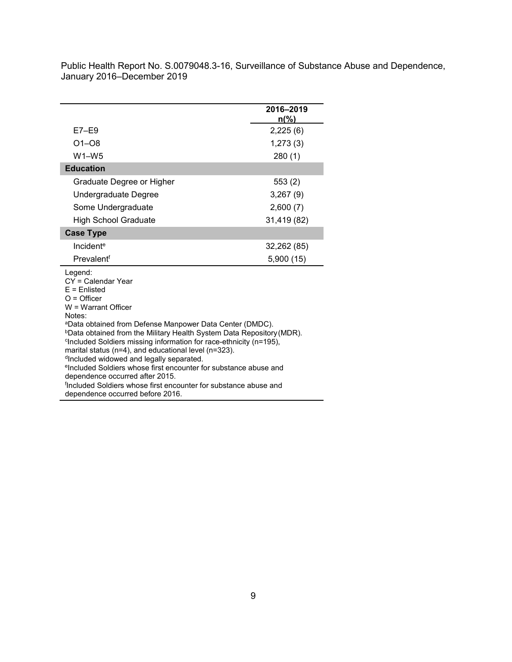|                                                                                                                                                                                                                                                                                                                                                                                                                                                                       | 2016-2019<br>$n\frac{9}{6}$ |
|-----------------------------------------------------------------------------------------------------------------------------------------------------------------------------------------------------------------------------------------------------------------------------------------------------------------------------------------------------------------------------------------------------------------------------------------------------------------------|-----------------------------|
| $E7-E9$                                                                                                                                                                                                                                                                                                                                                                                                                                                               | 2,225(6)                    |
| $O1 - O8$                                                                                                                                                                                                                                                                                                                                                                                                                                                             | 1,273(3)                    |
| $W1-W5$                                                                                                                                                                                                                                                                                                                                                                                                                                                               | 280(1)                      |
| <b>Education</b>                                                                                                                                                                                                                                                                                                                                                                                                                                                      |                             |
| Graduate Degree or Higher                                                                                                                                                                                                                                                                                                                                                                                                                                             | 553(2)                      |
| Undergraduate Degree                                                                                                                                                                                                                                                                                                                                                                                                                                                  | 3,267(9)                    |
| Some Undergraduate                                                                                                                                                                                                                                                                                                                                                                                                                                                    | 2,600(7)                    |
| <b>High School Graduate</b>                                                                                                                                                                                                                                                                                                                                                                                                                                           | 31,419 (82)                 |
| <b>Case Type</b>                                                                                                                                                                                                                                                                                                                                                                                                                                                      |                             |
| Incident <sup>e</sup>                                                                                                                                                                                                                                                                                                                                                                                                                                                 | 32,262 (85)                 |
| Prevalentf                                                                                                                                                                                                                                                                                                                                                                                                                                                            | 5,900(15)                   |
| Legend:<br>CY = Calendar Year<br>$E =$ Enlisted<br>$O =$ Officer<br>$W = Warrant$ Officer<br>Notes:<br>aData obtained from Defense Manpower Data Center (DMDC).                                                                                                                                                                                                                                                                                                       |                             |
| <b>bData obtained from the Military Health System Data Repository (MDR).</b><br><sup>c</sup> Included Soldiers missing information for race-ethnicity (n=195),<br>marital status (n=4), and educational level (n=323).<br>dIncluded widowed and legally separated.<br><sup>e</sup> Included Soldiers whose first encounter for substance abuse and<br>dependence occurred after 2015.<br><sup>f</sup> included Soldiers whose first encounter for substance abuse and |                             |
| dependence occurred before 2016.                                                                                                                                                                                                                                                                                                                                                                                                                                      |                             |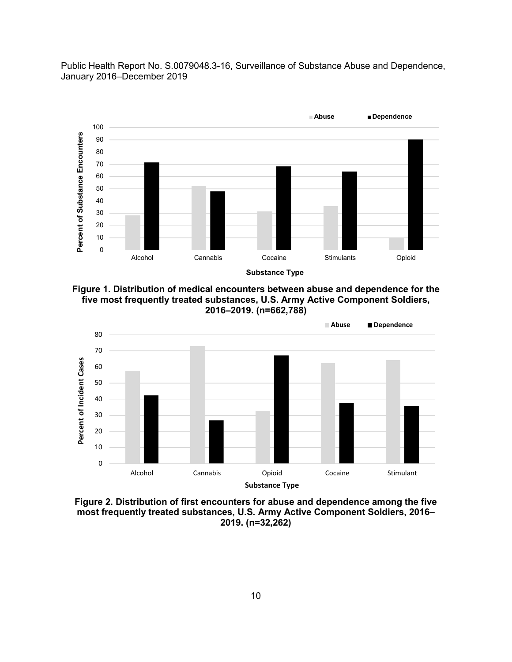

**Figure 1. Distribution of medical encounters between abuse and dependence for the five most frequently treated substances, U.S. Army Active Component Soldiers, 2016–2019. (n=662,788)**



**Figure 2. Distribution of first encounters for abuse and dependence among the five most frequently treated substances, U.S. Army Active Component Soldiers, 2016– 2019. (n=32,262)**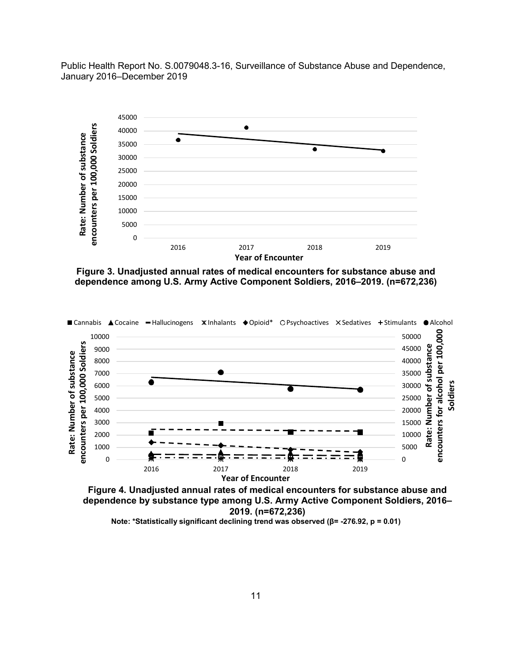

**Figure 3. Unadjusted annual rates of medical encounters for substance abuse and dependence among U.S. Army Active Component Soldiers, 2016–2019. (n=672,236)**



**Figure 4. Unadjusted annual rates of medical encounters for substance abuse and dependence by substance type among U.S. Army Active Component Soldiers, 2016– 2019. (n=672,236) Note: \*Statistically significant declining trend was observed (β= -276.92, p = 0.01)**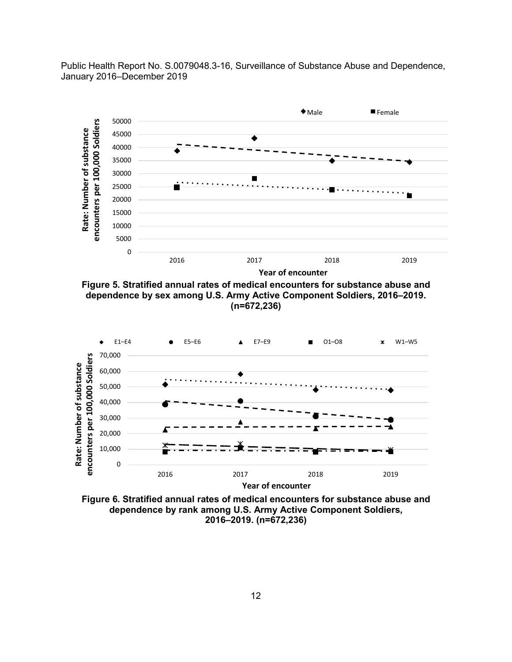

**Figure 5. Stratified annual rates of medical encounters for substance abuse and dependence by sex among U.S. Army Active Component Soldiers, 2016–2019. (n=672,236)**



**Figure 6. Stratified annual rates of medical encounters for substance abuse and dependence by rank among U.S. Army Active Component Soldiers, 2016–2019. (n=672,236)**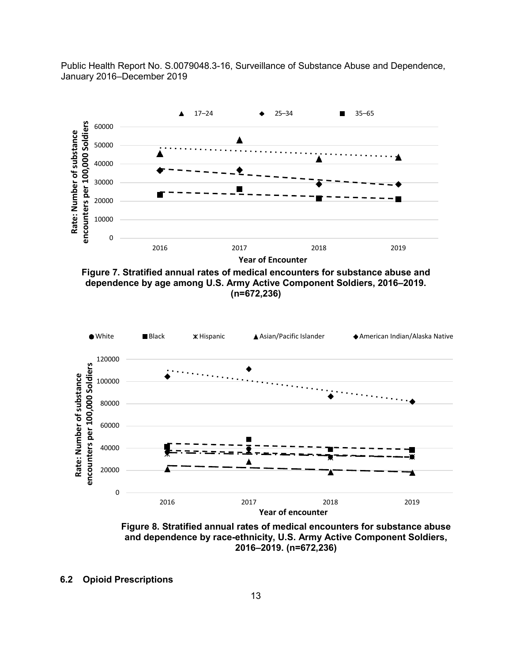

**Figure 7. Stratified annual rates of medical encounters for substance abuse and dependence by age among U.S. Army Active Component Soldiers, 2016–2019. (n=672,236)**



**Figure 8. Stratified annual rates of medical encounters for substance abuse and dependence by race-ethnicity, U.S. Army Active Component Soldiers, 2016–2019. (n=672,236)**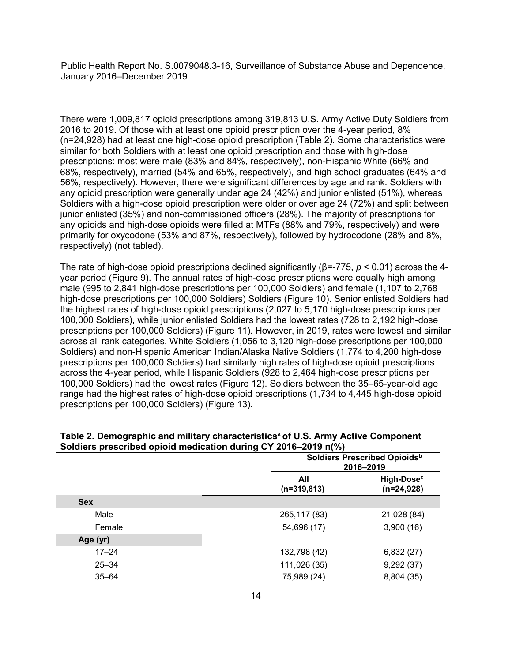There were 1,009,817 opioid prescriptions among 319,813 U.S. Army Active Duty Soldiers from 2016 to 2019. Of those with at least one opioid prescription over the 4-year period, 8% (n=24,928) had at least one high-dose opioid prescription (Table 2). Some characteristics were similar for both Soldiers with at least one opioid prescription and those with high-dose prescriptions: most were male (83% and 84%, respectively), non-Hispanic White (66% and 68%, respectively), married (54% and 65%, respectively), and high school graduates (64% and 56%, respectively). However, there were significant differences by age and rank. Soldiers with any opioid prescription were generally under age 24 (42%) and junior enlisted (51%), whereas Soldiers with a high-dose opioid prescription were older or over age 24 (72%) and split between junior enlisted (35%) and non-commissioned officers (28%). The majority of prescriptions for any opioids and high-dose opioids were filled at MTFs (88% and 79%, respectively) and were primarily for oxycodone (53% and 87%, respectively), followed by hydrocodone (28% and 8%, respectively) (not tabled).

The rate of high-dose opioid prescriptions declined significantly (β=-775, *p* < 0.01) across the 4 year period (Figure 9). The annual rates of high-dose prescriptions were equally high among male (995 to 2,841 high-dose prescriptions per 100,000 Soldiers) and female (1,107 to 2,768 high-dose prescriptions per 100,000 Soldiers) Soldiers (Figure 10). Senior enlisted Soldiers had the highest rates of high-dose opioid prescriptions (2,027 to 5,170 high-dose prescriptions per 100,000 Soldiers), while junior enlisted Soldiers had the lowest rates (728 to 2,192 high-dose prescriptions per 100,000 Soldiers) (Figure 11). However, in 2019, rates were lowest and similar across all rank categories. White Soldiers (1,056 to 3,120 high-dose prescriptions per 100,000 Soldiers) and non-Hispanic American Indian/Alaska Native Soldiers (1,774 to 4,200 high-dose prescriptions per 100,000 Soldiers) had similarly high rates of high-dose opioid prescriptions across the 4-year period, while Hispanic Soldiers (928 to 2,464 high-dose prescriptions per 100,000 Soldiers) had the lowest rates (Figure 12). Soldiers between the 35–65-year-old age range had the highest rates of high-dose opioid prescriptions (1,734 to 4,445 high-dose opioid prescriptions per 100,000 Soldiers) (Figure 13).

|            |                      | Soldiers Prescribed Opioids <sup>b</sup><br>2016-2019 |  |
|------------|----------------------|-------------------------------------------------------|--|
|            | All<br>$(n=319,813)$ | High-Dose <sup>c</sup><br>$(n=24,928)$                |  |
| <b>Sex</b> |                      |                                                       |  |
| Male       | 265, 117 (83)        | 21,028 (84)                                           |  |
| Female     | 54,696 (17)          | 3,900(16)                                             |  |
| Age (yr)   |                      |                                                       |  |
| $17 - 24$  | 132,798 (42)         | 6,832(27)                                             |  |
| $25 - 34$  | 111,026 (35)         | 9,292(37)                                             |  |
| $35 - 64$  | 75,989 (24)          | 8,804 (35)                                            |  |

#### Table 2. Demographic and military characteristics<sup>a</sup> of U.S. Army Active Component **Soldiers prescribed opioid medication during CY 2016–2019 n(%)**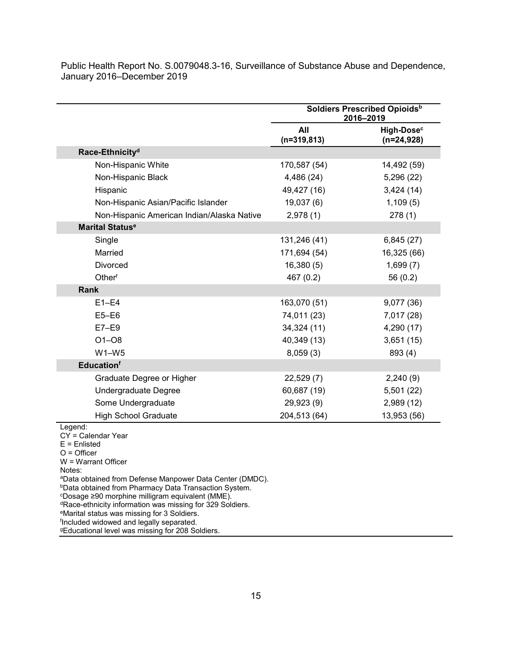|                                                                                                                                                                                                                                                                                                                                                                          | Soldiers Prescribed Opioids <sup>b</sup><br>2016-2019 |                                        |
|--------------------------------------------------------------------------------------------------------------------------------------------------------------------------------------------------------------------------------------------------------------------------------------------------------------------------------------------------------------------------|-------------------------------------------------------|----------------------------------------|
|                                                                                                                                                                                                                                                                                                                                                                          | All<br>$(n=319, 813)$                                 | High-Dose <sup>c</sup><br>$(n=24,928)$ |
| Race-Ethnicity <sup>d</sup>                                                                                                                                                                                                                                                                                                                                              |                                                       |                                        |
| Non-Hispanic White                                                                                                                                                                                                                                                                                                                                                       | 170,587 (54)                                          | 14,492 (59)                            |
| Non-Hispanic Black                                                                                                                                                                                                                                                                                                                                                       | 4,486 (24)                                            | 5,296 (22)                             |
| Hispanic                                                                                                                                                                                                                                                                                                                                                                 | 49,427 (16)                                           | 3,424(14)                              |
| Non-Hispanic Asian/Pacific Islander                                                                                                                                                                                                                                                                                                                                      | 19,037(6)                                             | 1,109(5)                               |
| Non-Hispanic American Indian/Alaska Native                                                                                                                                                                                                                                                                                                                               | 2,978(1)                                              | 278(1)                                 |
| <b>Marital Status<sup>e</sup></b>                                                                                                                                                                                                                                                                                                                                        |                                                       |                                        |
| Single                                                                                                                                                                                                                                                                                                                                                                   | 131,246 (41)                                          | 6,845(27)                              |
| Married                                                                                                                                                                                                                                                                                                                                                                  | 171,694 (54)                                          | 16,325 (66)                            |
| Divorced                                                                                                                                                                                                                                                                                                                                                                 | 16,380(5)                                             | 1,699(7)                               |
| Otherf                                                                                                                                                                                                                                                                                                                                                                   | 467 (0.2)                                             | 56 (0.2)                               |
| <b>Rank</b>                                                                                                                                                                                                                                                                                                                                                              |                                                       |                                        |
| $E1-E4$                                                                                                                                                                                                                                                                                                                                                                  | 163,070 (51)                                          | 9,077 (36)                             |
| $E5-E6$                                                                                                                                                                                                                                                                                                                                                                  | 74,011 (23)                                           | 7,017 (28)                             |
| $E7-E9$                                                                                                                                                                                                                                                                                                                                                                  | 34,324 (11)                                           | 4,290 (17)                             |
| $O1 - O8$                                                                                                                                                                                                                                                                                                                                                                | 40,349 (13)                                           | 3,651(15)                              |
| $W1-W5$                                                                                                                                                                                                                                                                                                                                                                  | 8,059(3)                                              | 893 (4)                                |
| <b>Educationf</b>                                                                                                                                                                                                                                                                                                                                                        |                                                       |                                        |
| Graduate Degree or Higher                                                                                                                                                                                                                                                                                                                                                | 22,529(7)                                             | 2,240(9)                               |
| Undergraduate Degree                                                                                                                                                                                                                                                                                                                                                     | 60,687 (19)                                           | 5,501(22)                              |
| Some Undergraduate                                                                                                                                                                                                                                                                                                                                                       | 29,923 (9)                                            | 2,989(12)                              |
| <b>High School Graduate</b>                                                                                                                                                                                                                                                                                                                                              | 204,513 (64)                                          | 13,953 (56)                            |
| Legend:<br>CY = Calendar Year<br>$E =$ Enlisted<br>$O =$ Officer<br>$W =$ Warrant Officer<br>Notes:<br><sup>a</sup> Data obtained from Defense Manpower Data Center (DMDC).<br><b>bData obtained from Pharmacy Data Transaction System.</b><br>°Dosage ≥90 morphine milligram equivalent (MME).<br><sup>d</sup> Race-ethnicity information was missing for 329 Soldiers. |                                                       |                                        |

<sup>e</sup>Marital status was missing for 3 Soldiers.<br><sup>f</sup>Included widowed and legally separated.

<sup>g</sup>Educational level was missing for 208 Soldiers.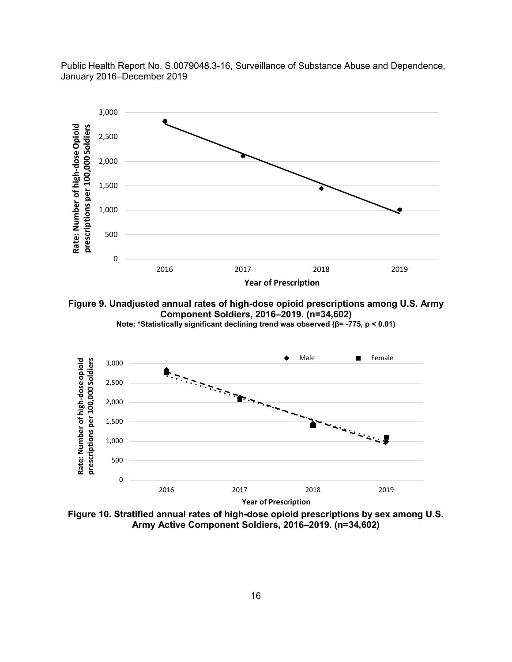

**Year of Prescription**

**Figure 9. Unadjusted annual rates of high-dose opioid prescriptions among U.S. Army Component Soldiers, 2016–2019. (n=34,602) Note: \*Statistically significant declining trend was observed (β= -775, p < 0.01)**



**Figure 10. Stratified annual rates of high-dose opioid prescriptions by sex among U.S. Army Active Component Soldiers, 2016–2019. (n=34,602)**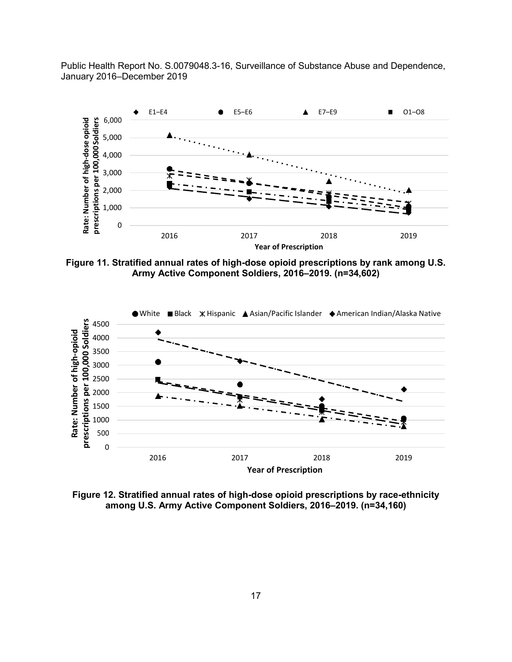

**Figure 11. Stratified annual rates of high-dose opioid prescriptions by rank among U.S. Army Active Component Soldiers, 2016–2019. (n=34,602)**



**Figure 12. Stratified annual rates of high-dose opioid prescriptions by race-ethnicity among U.S. Army Active Component Soldiers, 2016–2019. (n=34,160)**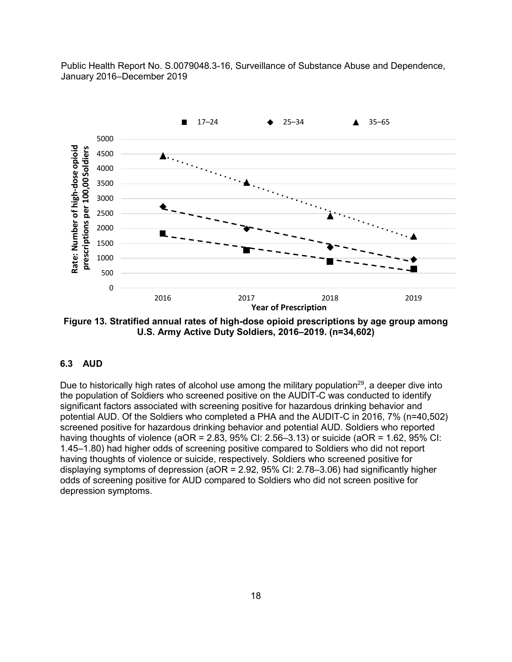

**Figure 13. Stratified annual rates of high-dose opioid prescriptions by age group among U.S. Army Active Duty Soldiers, 2016–2019. (n=34,602)**

#### **6.3 AUD**

Due to historically high rates of alcohol use among the military population<sup>29</sup>, a deeper dive into the population of Soldiers who screened positive on the AUDIT-C was conducted to identify significant factors associated with screening positive for hazardous drinking behavior and potential AUD. Of the Soldiers who completed a PHA and the AUDIT-C in 2016, 7% (n=40,502) screened positive for hazardous drinking behavior and potential AUD. Soldiers who reported having thoughts of violence (aOR =  $2.83$ ,  $95\%$  CI:  $2.56-3.13$ ) or suicide (aOR =  $1.62$ ,  $95\%$  CI: 1.45–1.80) had higher odds of screening positive compared to Soldiers who did not report having thoughts of violence or suicide, respectively. Soldiers who screened positive for displaying symptoms of depression (aOR = 2.92, 95% CI: 2.78–3.06) had significantly higher odds of screening positive for AUD compared to Soldiers who did not screen positive for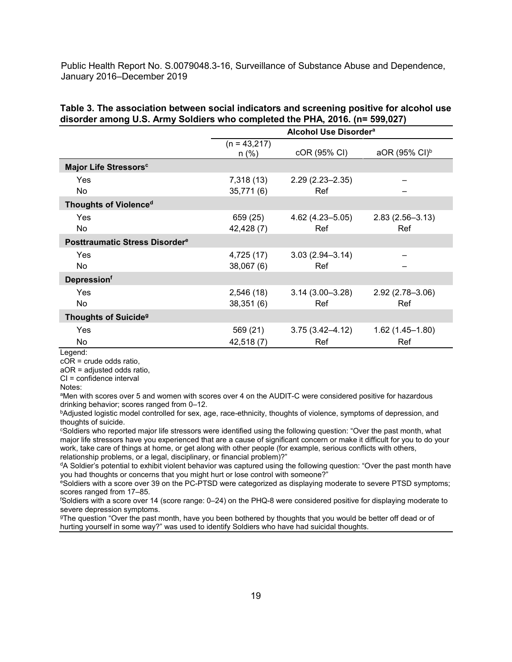| Table 3. The association between social indicators and screening positive for alcohol use |  |
|-------------------------------------------------------------------------------------------|--|
| disorder among U.S. Army Soldiers who completed the PHA, 2016. (n= 599,027)               |  |

<span id="page-23-0"></span>

|                                            | Alcohol Use Disorder <sup>a</sup> |                     |                           |  |  |  |  |
|--------------------------------------------|-----------------------------------|---------------------|---------------------------|--|--|--|--|
|                                            | $(n = 43,217)$<br>$n$ (%)         | cOR (95% CI)        | aOR (95% CI) <sup>b</sup> |  |  |  |  |
| Major Life Stressors <sup>c</sup>          |                                   |                     |                           |  |  |  |  |
| Yes                                        | 7,318 (13)                        | $2.29(2.23 - 2.35)$ |                           |  |  |  |  |
| No                                         | 35,771(6)                         |                     |                           |  |  |  |  |
| Thoughts of Violence <sup>d</sup>          |                                   |                     |                           |  |  |  |  |
| Yes                                        | 659 (25)                          | $4.62(4.23 - 5.05)$ | $2.83(2.56 - 3.13)$       |  |  |  |  |
| No                                         | 42,428 (7)                        | Ref                 | Ref                       |  |  |  |  |
| Posttraumatic Stress Disorder <sup>e</sup> |                                   |                     |                           |  |  |  |  |
| Yes                                        | 4,725 (17)                        | $3.03(2.94 - 3.14)$ |                           |  |  |  |  |
| No                                         | 38,067(6)                         | Ref                 |                           |  |  |  |  |
| <b>Depressionf</b>                         |                                   |                     |                           |  |  |  |  |
| Yes                                        | 2,546(18)                         | $3.14(3.00 - 3.28)$ | $2.92(2.78 - 3.06)$       |  |  |  |  |
| No                                         | 38,351(6)                         | Ref                 | Ref                       |  |  |  |  |
| <b>Thoughts of Suicide<sup>9</sup></b>     |                                   |                     |                           |  |  |  |  |
| Yes                                        | 569 (21)                          | $3.75(3.42 - 4.12)$ | $1.62(1.45 - 1.80)$       |  |  |  |  |
| No                                         | 42,518 (7)                        | Ref                 | Ref                       |  |  |  |  |

Legend:

cOR = crude odds ratio,

aOR = adjusted odds ratio, CI = confidence interval

Notes:

aMen with scores over 5 and women with scores over 4 on the AUDIT-C were considered positive for hazardous drinking behavior; scores ranged from 0–12.

bAdjusted logistic model controlled for sex, age, race-ethnicity, thoughts of violence, symptoms of depression, and thoughts of suicide.

cSoldiers who reported major life stressors were identified using the following question: "Over the past month, what major life stressors have you experienced that are a cause of significant concern or make it difficult for you to do your work, take care of things at home, or get along with other people (for example, serious conflicts with others, relationship problems, or a legal, disciplinary, or financial problem)?"

<sup>d</sup>A Soldier's potential to exhibit violent behavior was captured using the following question: "Over the past month have you had thoughts or concerns that you might hurt or lose control with someone?"

eSoldiers with a score over 39 on the PC-PTSD were categorized as displaying moderate to severe PTSD symptoms; scores ranged from 17–85.

f Soldiers with a score over 14 (score range: 0–24) on the PHQ-8 were considered positive for displaying moderate to severe depression symptoms.

gThe question "Over the past month, have you been bothered by thoughts that you would be better off dead or of hurting yourself in some way?" was used to identify Soldiers who have had suicidal thoughts.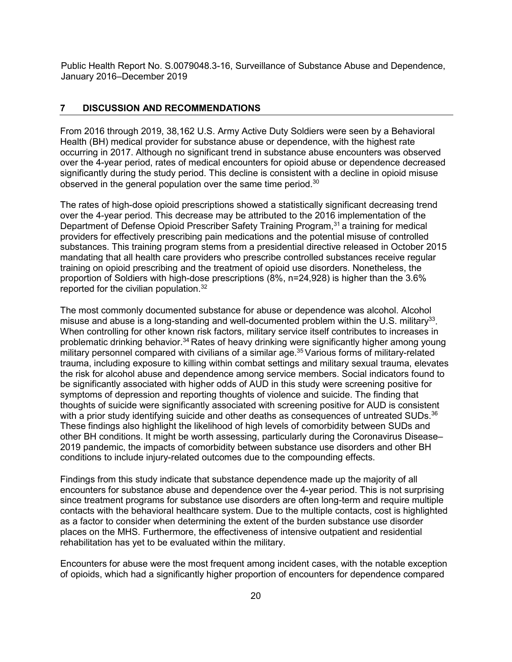#### **7 DISCUSSION AND RECOMMENDATIONS**

From 2016 through 2019, 38,162 U.S. Army Active Duty Soldiers were seen by a Behavioral Health (BH) medical provider for substance abuse or dependence, with the highest rate occurring in 2017. Although no significant trend in substance abuse encounters was observed over the 4-year period, rates of medical encounters for opioid abuse or dependence decreased significantly during the study period. This decline is consistent with a decline in opioid misuse observed in the general population over the same time period.<sup>30</sup>

The rates of high-dose opioid prescriptions showed a statistically significant decreasing trend over the 4-year period. This decrease may be attributed to the 2016 implementation of the Department of Defense Opioid Prescriber Safety Training Program.<sup>31</sup> a training for medical providers for effectively prescribing pain medications and the potential misuse of controlled substances. This training program stems from a presidential directive released in October 2015 mandating that all health care providers who prescribe controlled substances receive regular training on opioid prescribing and the treatment of opioid use disorders. Nonetheless, the proportion of Soldiers with high-dose prescriptions (8%, n=24,928) is higher than the 3.6% reported for the civilian population.<sup>32</sup>

The most commonly documented substance for abuse or dependence was alcohol. Alcohol misuse and abuse is a long-standing and well-documented problem within the U.S. military<sup>33</sup>. When controlling for other known risk factors, military service itself contributes to increases in problematic drinking behavior.34 Rates of heavy drinking were significantly higher among young military personnel compared with civilians of a similar age.<sup>35</sup> Various forms of military-related trauma, including exposure to killing within combat settings and military sexual trauma, elevates the risk for alcohol abuse and dependence among service members. Social indicators found to be significantly associated with higher odds of AUD in this study were screening positive for symptoms of depression and reporting thoughts of violence and suicide. The finding that thoughts of suicide were significantly associated with screening positive for AUD is consistent with a prior study identifying suicide and other deaths as consequences of untreated SUDs.<sup>36</sup> These findings also highlight the likelihood of high levels of comorbidity between SUDs and other BH conditions. It might be worth assessing, particularly during the Coronavirus Disease– 2019 pandemic, the impacts of comorbidity between substance use disorders and other BH conditions to include injury-related outcomes due to the compounding effects.

Findings from this study indicate that substance dependence made up the majority of all encounters for substance abuse and dependence over the 4-year period. This is not surprising since treatment programs for substance use disorders are often long-term and require multiple contacts with the behavioral healthcare system. Due to the multiple contacts, cost is highlighted as a factor to consider when determining the extent of the burden substance use disorder places on the MHS. Furthermore, the effectiveness of intensive outpatient and residential rehabilitation has yet to be evaluated within the military.

Encounters for abuse were the most frequent among incident cases, with the notable exception of opioids, which had a significantly higher proportion of encounters for dependence compared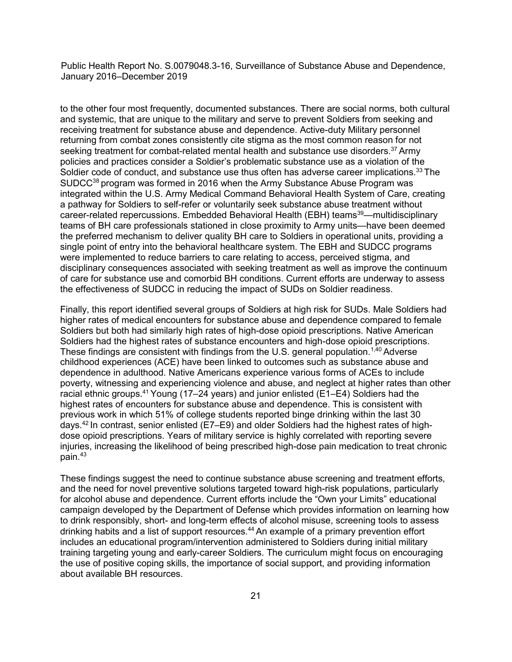to the other four most frequently, documented substances. There are social norms, both cultural and systemic, that are unique to the military and serve to prevent Soldiers from seeking and receiving treatment for substance abuse and dependence. Active-duty Military personnel returning from combat zones consistently cite stigma as the most common reason for not seeking treatment for combat-related mental health and substance use disorders.<sup>37</sup> Army policies and practices consider a Soldier's problematic substance use as a violation of the Soldier code of conduct, and substance use thus often has adverse career implications.<sup>33</sup> The SUDCC<sup>38</sup> program was formed in 2016 when the Army Substance Abuse Program was integrated within the U.S. Army Medical Command Behavioral Health System of Care, creating a pathway for Soldiers to self-refer or voluntarily seek substance abuse treatment without career-related repercussions. Embedded Behavioral Health (EBH) teams<sup>39</sup>—multidisciplinary teams of BH care professionals stationed in close proximity to Army units—have been deemed the preferred mechanism to deliver quality BH care to Soldiers in operational units, providing a single point of entry into the behavioral healthcare system. The EBH and SUDCC programs were implemented to reduce barriers to care relating to access, perceived stigma, and disciplinary consequences associated with seeking treatment as well as improve the continuum of care for substance use and comorbid BH conditions. Current efforts are underway to assess the effectiveness of SUDCC in reducing the impact of SUDs on Soldier readiness.

Finally, this report identified several groups of Soldiers at high risk for SUDs. Male Soldiers had higher rates of medical encounters for substance abuse and dependence compared to female Soldiers but both had similarly high rates of high-dose opioid prescriptions. Native American Soldiers had the highest rates of substance encounters and high-dose opioid prescriptions. These findings are consistent with findings from the U.S. general population.<sup>1,40</sup> Adverse childhood experiences (ACE) have been linked to outcomes such as substance abuse and dependence in adulthood. Native Americans experience various forms of ACEs to include poverty, witnessing and experiencing violence and abuse, and neglect at higher rates than other racial ethnic groups.41 Young (17–24 years) and junior enlisted (E1–E4) Soldiers had the highest rates of encounters for substance abuse and dependence. This is consistent with previous work in which 51% of college students reported binge drinking within the last 30 days.42 In contrast, senior enlisted (E7–E9) and older Soldiers had the highest rates of highdose opioid prescriptions. Years of military service is highly correlated with reporting severe injuries, increasing the likelihood of being prescribed high-dose pain medication to treat chronic pain.43

These findings suggest the need to continue substance abuse screening and treatment efforts, and the need for novel preventive solutions targeted toward high-risk populations, particularly for alcohol abuse and dependence. Current efforts include the "Own your Limits" educational campaign developed by the Department of Defense which provides information on learning how to drink responsibly, short- and long-term effects of alcohol misuse, screening tools to assess drinking habits and a list of support resources.<sup>44</sup> An example of a primary prevention effort includes an educational program/intervention administered to Soldiers during initial military training targeting young and early-career Soldiers. The curriculum might focus on encouraging the use of positive coping skills, the importance of social support, and providing information about available BH resources.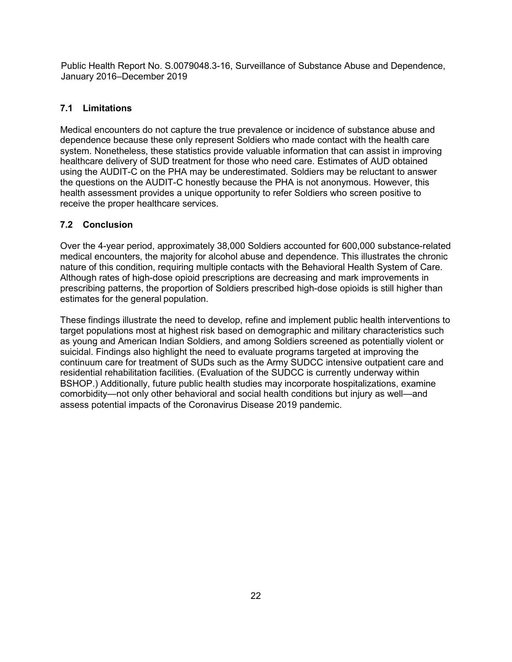## **7.1 Limitations**

Medical encounters do not capture the true prevalence or incidence of substance abuse and dependence because these only represent Soldiers who made contact with the health care system. Nonetheless, these statistics provide valuable information that can assist in improving healthcare delivery of SUD treatment for those who need care. Estimates of AUD obtained using the AUDIT-C on the PHA may be underestimated. Soldiers may be reluctant to answer the questions on the AUDIT-C honestly because the PHA is not anonymous. However, this health assessment provides a unique opportunity to refer Soldiers who screen positive to receive the proper healthcare services.

## **7.2 Conclusion**

Over the 4-year period, approximately 38,000 Soldiers accounted for 600,000 substance-related medical encounters, the majority for alcohol abuse and dependence. This illustrates the chronic nature of this condition, requiring multiple contacts with the Behavioral Health System of Care. Although rates of high-dose opioid prescriptions are decreasing and mark improvements in prescribing patterns, the proportion of Soldiers prescribed high-dose opioids is still higher than estimates for the general population.

These findings illustrate the need to develop, refine and implement public health interventions to target populations most at highest risk based on demographic and military characteristics such as young and American Indian Soldiers, and among Soldiers screened as potentially violent or suicidal. Findings also highlight the need to evaluate programs targeted at improving the continuum care for treatment of SUDs such as the Army SUDCC intensive outpatient care and residential rehabilitation facilities. (Evaluation of the SUDCC is currently underway within BSHOP.) Additionally, future public health studies may incorporate hospitalizations, examine comorbidity—not only other behavioral and social health conditions but injury as well—and assess potential impacts of the Coronavirus Disease 2019 pandemic.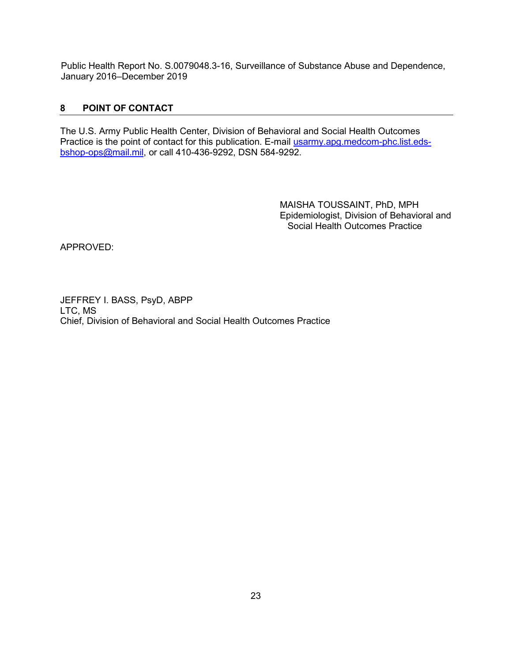## <span id="page-27-0"></span>**8 POINT OF CONTACT**

The U.S. Army Public Health Center, Division of Behavioral and Social Health Outcomes Practice is the point of contact for this publication. E-mail [usarmy.apg.medcom-phc.list.eds](mailto:usarmy.apg.medcom-phc.list.eds-bshop-ops@mail.mil)[bshop-ops@mail.mil,](mailto:usarmy.apg.medcom-phc.list.eds-bshop-ops@mail.mil) or call 410-436-9292, DSN 584-9292.

> MAISHA TOUSSAINT, PhD, MPH Epidemiologist, Division of Behavioral and Social Health Outcomes Practice

APPROVED:

JEFFREY I. BASS, PsyD, ABPP LTC, MS Chief, Division of Behavioral and Social Health Outcomes Practice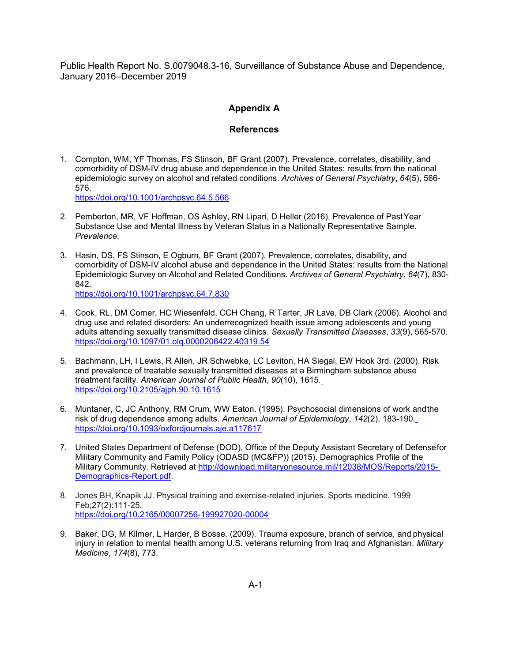#### **Appendix A**

#### **References**

1. Compton, WM, YF Thomas, FS Stinson, BF Grant (2007). Prevalence, correlates, disability, and comorbidity of DSM-IV drug abuse and dependence in the United States: results from the national epidemiologic survey on alcohol and related conditions. *Archives of General Psychiatry*, *64*(5), 566- 576.

<https://doi.org/10.1001/archpsyc.64.5.566>

- 2. Pemberton, MR, VF Hoffman, OS Ashley, RN Lipari, D Heller (2016). Prevalence of PastYear Substance Use and Mental Illness by Veteran Status in a Nationally Representative Sample. *Prevalence*.
- 3. Hasin, DS, FS Stinson, E Ogburn, BF Grant (2007). Prevalence, correlates, disability, and comorbidity of DSM-IV alcohol abuse and dependence in the United States: results from the National Epidemiologic Survey on Alcohol and Related Conditions. *Archives of General Psychiatry*, *64*(7), 830- 842. <https://doi.org/10.1001/archpsyc.64.7.830>
- 4. Cook, RL, DM Comer, HC Wiesenfeld, CCH Chang, R Tarter, JR Lave, DB Clark (2006). Alcohol and drug use and related disorders: An underrecognized health issue among adolescents and young adults attending sexually transmitted disease clinics. *Sexually Transmitted Diseases*, *33*(9), 565-570. <https://doi.org/10.1097/01.olq.0000206422.40319.54>
- 5. Bachmann, LH, I Lewis, R Allen, JR Schwebke, LC Leviton, HA Siegal, EW Hook 3rd. (2000). Risk and prevalence of treatable sexually transmitted diseases at a Birmingham substance abuse treatment facility. *American Journal of Public Health*, *90*(10), 1615. <https://doi.org/10.2105/ajph.90.10.1615>
- 6. Muntaner, C, JC Anthony, RM Crum, WW Eaton. (1995). Psychosocial dimensions of work andthe risk of drug dependence among adults. *American Journal of Epidemiology*, *142*(2), 183-190. <https://doi.org/10.1093/oxfordjournals.aje.a117617>
- 7. United States Department of Defense (DOD), Office of the Deputy Assistant Secretary of Defensefor Military Community and Family Policy (ODASD (MC&FP)) (2015). Demographics Profile of the Military Community. Retrieved at [http://download.militaryonesource.mil/12038/MOS/Reports/2015-](http://download.militaryonesource.mil/12038/MOS/Reports/2015-Demographics-Report.pdf) [Demographics-Report.pdf.](http://download.militaryonesource.mil/12038/MOS/Reports/2015-Demographics-Report.pdf)
- 8. Jones BH, Knapik JJ. Physical training and exercise-related injuries. Sports medicine. 1999 Feb;27(2):111-25. <https://doi.org/10.2165/00007256-199927020-00004>
- 9. Baker, DG, M Kilmer, L Harder, B Bosse. (2009). Trauma exposure, branch of service, and physical injury in relation to mental health among U.S. veterans returning from Iraq and Afghanistan. *Military Medicine*, *174*(8), 773.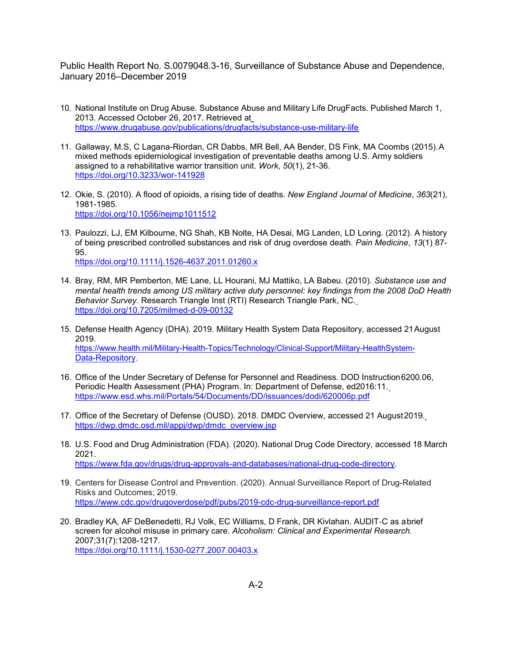- 10. National Institute on Drug Abuse. Substance Abuse and Military Life DrugFacts. Published March 1, 2013. Accessed October 26, 2017. Retrieved at <https://www.drugabuse.gov/publications/drugfacts/substance-use-military-life>
- 11. Gallaway, M.S, C Lagana-Riordan, CR Dabbs, MR Bell, AA Bender, DS Fink, MA Coombs (2015).A mixed methods epidemiological investigation of preventable deaths among U.S. Army soldiers assigned to a rehabilitative warrior transition unit. *Work*, *50*(1), 21-36. <https://doi.org/10.3233/wor-141928>
- 12. Okie, S. (2010). A flood of opioids, a rising tide of deaths. *New England Journal of Medicine*, *363*(21), 1981-1985. <https://doi.org/10.1056/nejmp1011512>
- 13. Paulozzi, LJ, EM Kilbourne, NG Shah, KB Nolte, HA Desai, MG Landen, LD Loring. (2012). A history of being prescribed controlled substances and risk of drug overdose death. *Pain Medicine*, *13*(1) 87- 95. <https://doi.org/10.1111/j.1526-4637.2011.01260.x>
- 14. Bray, RM, MR Pemberton, ME Lane, LL Hourani, MJ Mattiko, LA Babeu. (2010). *Substance use and mental health trends among US military active duty personnel: key findings from the 2008 DoD Health Behavior Survey*. Research Triangle Inst (RTI) Research Triangle Park, NC. <https://doi.org/10.7205/milmed-d-09-00132>
- 15. Defense Health Agency (DHA). 2019. Military Health System Data Repository, accessed 21August 2019. [https://www.health.mil/Military-Health-Topics/Technology/Clinical-Support/Military-HealthSystem-](https://www.health.mil/Military-Health-Topics/Technology/Clinical-Support/Military-HealthSystem-Data-Repository)[Data-Repository.](https://www.health.mil/Military-Health-Topics/Technology/Clinical-Support/Military-HealthSystem-Data-Repository)
- 16. Office of the Under Secretary of Defense for Personnel and Readiness. DOD Instruction6200.06, Periodic Health Assessment (PHA) Program. In: Department of Defense, ed2016:11. <https://www.esd.whs.mil/Portals/54/Documents/DD/issuances/dodi/620006p.pdf>
- 17. Office of the Secretary of Defense (OUSD). 2018. DMDC Overview, accessed 21 August2019. [https://dwp.dmdc.osd.mil/appj/dwp/dmdc\\_overview.jsp](https://dwp.dmdc.osd.mil/appj/dwp/dmdc_overview.jsp)
- 18. U.S. Food and Drug Administration (FDA). (2020). National Drug Code Directory, accessed 18 March 2021. [https://www.fda.gov/drugs/drug-approvals-and-databases/national-drug-code-directory.](https://www.fda.gov/drugs/drug-approvals-and-databases/national-drug-code-directory)
- 19. Centers for Disease Control and Prevention. (2020). Annual Surveillance Report of Drug-Related Risks and Outcomes; 2019. <https://www.cdc.gov/drugoverdose/pdf/pubs/2019-cdc-drug-surveillance-report.pdf>
- 20. Bradley KA, AF DeBenedetti, RJ Volk, EC Williams, D Frank, DR Kivlahan. AUDIT‐C as abrief screen for alcohol misuse in primary care. *Alcoholism: Clinical and Experimental Research.*  2007;31(7):1208-1217. <https://doi.org/10.1111/j.1530-0277.2007.00403.x>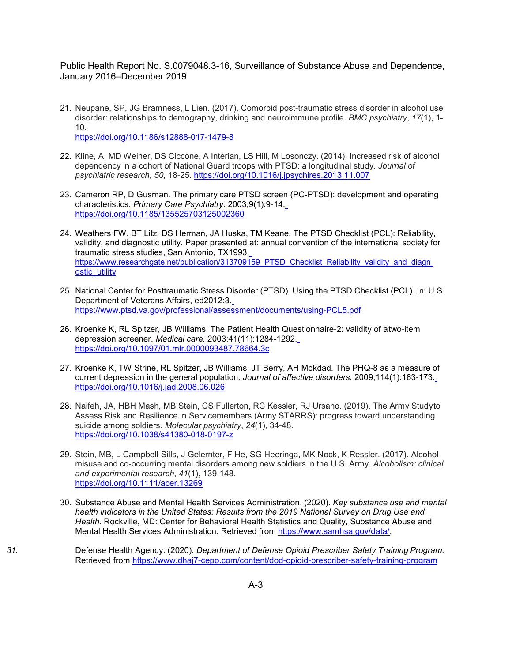- 21. Neupane, SP, JG Bramness, L Lien. (2017). Comorbid post-traumatic stress disorder in alcohol use disorder: relationships to demography, drinking and neuroimmune profile. *BMC psychiatry*, *17*(1), 1- 10. <https://doi.org/10.1186/s12888-017-1479-8>
- 22. Kline, A, MD Weiner, DS Ciccone, A Interian, LS Hill, M Losonczy. (2014). Increased risk of alcohol dependency in a cohort of National Guard troops with PTSD: a longitudinal study. *Journal of psychiatric research*, *50*, 18-25. <https://doi.org/10.1016/j.jpsychires.2013.11.007>
- 23. Cameron RP, D Gusman. The primary care PTSD screen (PC-PTSD): development and operating characteristics. *Primary Care Psychiatry.* 2003;9(1):9-14[.](https://doi.org/10.1185/135525703125002360) <https://doi.org/10.1185/135525703125002360>
- 24. Weathers FW, BT Litz, DS Herman, JA Huska, TM Keane. The PTSD Checklist (PCL): Reliability, validity, and diagnostic utility. Paper presented at: annual convention of the international society for traumatic stress studies, San Antonio, TX1993. [https://www.researchgate.net/publication/313709159\\_PTSD\\_Checklist\\_Reliability\\_validity\\_and\\_diagn](https://www.researchgate.net/publication/313709159_PTSD_Checklist_Reliability_validity_and_diagnostic_utility)\_ [ostic\\_utility](https://www.researchgate.net/publication/313709159_PTSD_Checklist_Reliability_validity_and_diagnostic_utility)
- 25. National Center for Posttraumatic Stress Disorder (PTSD). Using the PTSD Checklist (PCL). In: U.S. Department of Veterans Affairs, ed2012:3. <https://www.ptsd.va.gov/professional/assessment/documents/using-PCL5.pdf>
- 26. Kroenke K, RL Spitzer, JB Williams. The Patient Health Questionnaire-2: validity of atwo-item depression screener. *Medical care.* 2003;41(11):1284-1292. <https://doi.org/10.1097/01.mlr.0000093487.78664.3c>
- 27. Kroenke K, TW Strine, RL Spitzer, JB Williams, JT Berry, AH Mokdad. The PHQ-8 as a measure of current depression in the general population. *Journal of affective disorders.* 2009;114(1):163-173. <https://doi.org/10.1016/j.jad.2008.06.026>
- 28. Naifeh, JA, HBH Mash, MB Stein, CS Fullerton, RC Kessler, RJ Ursano. (2019). The Army Studyto Assess Risk and Resilience in Servicemembers (Army STARRS): progress toward understanding suicide among soldiers. *Molecular psychiatry*, *24*(1), 34-48. <https://doi.org/10.1038/s41380-018-0197-z>
- 29. Stein, MB, L Campbell‐Sills, J Gelernter, F He, SG Heeringa, MK Nock, K Ressler. (2017). Alcohol misuse and co‐occurring mental disorders among new soldiers in the U.S. Army. *Alcoholism: clinical and experimental research*, *41*(1), 139-148. <https://doi.org/10.1111/acer.13269>
- 30. Substance Abuse and Mental Health Services Administration. (2020). *Key substance use and mental health indicators in the United States: Results from the 2019 National Survey on Drug Use and Health*. Rockville, MD: Center for Behavioral Health Statistics and Quality, Substance Abuse and Mental Health Services Administration. Retrieved from [https://www.samhsa.gov/data/.](https://www.samhsa.gov/data/)
- *31.* Defense Health Agency. (2020). *Department of Defense Opioid Prescriber Safety Training Program.* Retrieved from<https://www.dhaj7-cepo.com/content/dod-opioid-prescriber-safety-training-program>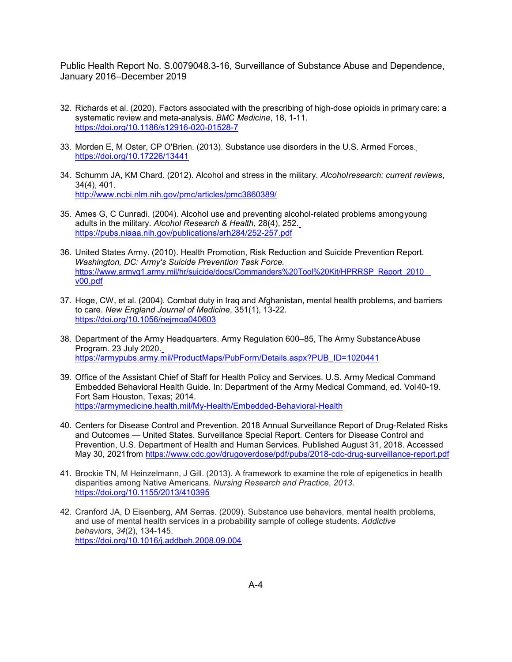- 32. Richards et al. (2020). Factors associated with the prescribing of high-dose opioids in primary care: a systematic review and meta-analysis. *BMC Medicine*, 18, 1-11. <https://doi.org/10.1186/s12916-020-01528-7>
- 33. Morden E, M Oster, CP O'Brien. (2013). Substance use disorders in the U.S. Armed Forces. <https://doi.org/10.17226/13441>
- 34. Schumm JA, KM Chard. (2012). Alcohol and stress in the military. *Alcoholresearch: current reviews*, 34(4), 401. <http://www.ncbi.nlm.nih.gov/pmc/articles/pmc3860389/>
- 35. Ames G, C Cunradi. (2004). Alcohol use and preventing alcohol-related problems amongyoung adults in the military. *Alcohol Research & Health*, 28(4), 252. <https://pubs.niaaa.nih.gov/publications/arh284/252-257.pdf>
- 36. United States Army. (2010). Health Promotion, Risk Reduction and Suicide Prevention Report. *Washington, DC: Army's Suicide Prevention Task Force.* https://www.armyg1.army.mil/hr/suicide/docs/Commanders%20Tool%20Kit/HPRRSP\_Report\_2010 [v00.pdf](https://www.armyg1.army.mil/hr/suicide/docs/Commanders%20Tool%20Kit/HPRRSP_Report_2010_v00.pdf)
- 37. Hoge, CW, et al. (2004). Combat duty in Iraq and Afghanistan, mental health problems, and barriers to care. *New England Journal of Medicine*, 351(1), 13-22. <https://doi.org/10.1056/nejmoa040603>
- 38. Department of the Army Headquarters. Army Regulation 600–85, The Army SubstanceAbuse Program. 23 July 2020. [https://armypubs.army.mil/ProductMaps/PubForm/Details.aspx?PUB\\_ID=1020441](https://armypubs.army.mil/ProductMaps/PubForm/Details.aspx?PUB_ID=1020441)
- 39. Office of the Assistant Chief of Staff for Health Policy and Services. U.S. Army Medical Command Embedded Behavioral Health Guide. In: Department of the Army Medical Command, ed. Vol40-19. Fort Sam Houston, Texas; 2014. <https://armymedicine.health.mil/My-Health/Embedded-Behavioral-Health>
- 40. Centers for Disease Control and Prevention. 2018 Annual Surveillance Report of Drug-Related Risks and Outcomes — United States. Surveillance Special Report. Centers for Disease Control and Prevention, U.S. Department of Health and Human Services. Published August 31, 2018. Accessed May 30, 2021from <https://www.cdc.gov/drugoverdose/pdf/pubs/2018-cdc-drug-surveillance-report.pdf>
- 41. Brockie TN, M Heinzelmann, J Gill. (2013). A framework to examine the role of epigenetics in health disparities among Native Americans. *Nursing Research and Practice*, *2013*. <https://doi.org/10.1155/2013/410395>
- 42. Cranford JA, D Eisenberg, AM Serras. (2009). Substance use behaviors, mental health problems, and use of mental health services in a probability sample of college students. *Addictive behaviors*, *34*(2), 134-145. <https://doi.org/10.1016/j.addbeh.2008.09.004>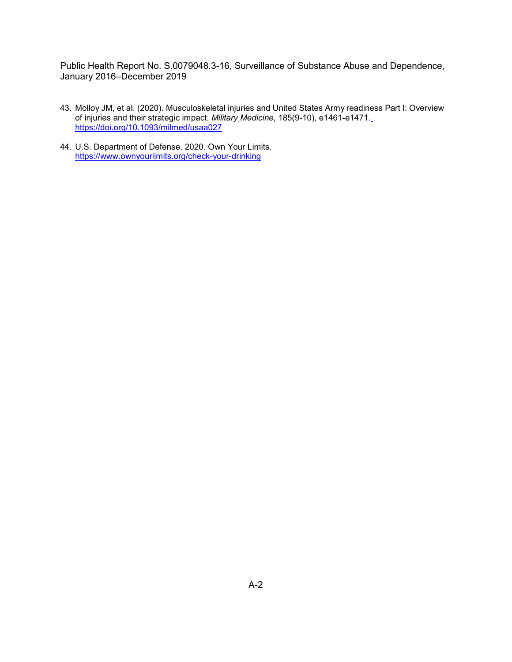- 43. Molloy JM, et al. (2020). Musculoskeletal injuries and United States Army readiness Part I: Overview of injuries and their strategic impact. *Military Medicine*, 185(9-10), e1461-e1471. <https://doi.org/10.1093/milmed/usaa027>
- 44. U.S. Department of Defense. 2020. Own Your Limits[.](https://www.ownyourlimits.org/check-your-drinking) <https://www.ownyourlimits.org/check-your-drinking>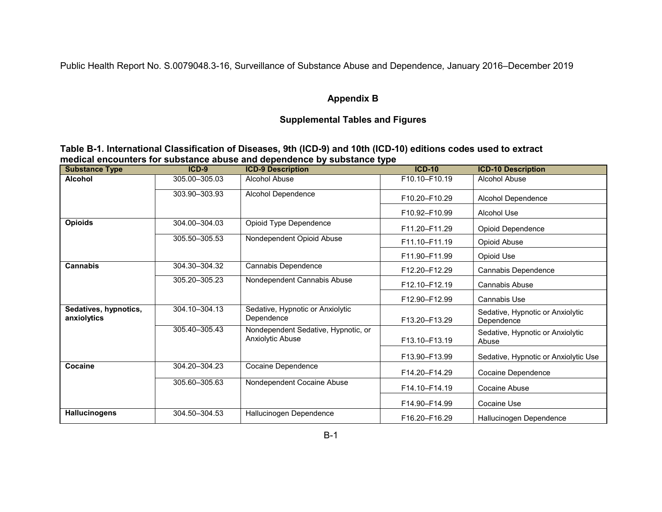## **Appendix B**

# **Supplemental Tables and Figures**

| Table B-1. International Classification of Diseases, 9th (ICD-9) and 10th (ICD-10) editions codes used to extract |  |
|-------------------------------------------------------------------------------------------------------------------|--|
| medical encounters for substance abuse and dependence by substance type                                           |  |

| <b>Substance Type</b>                | $ICD-9$         | <b>ICD-9 Description</b>                                | $ICD-10$      | <b>ICD-10 Description</b>                      |
|--------------------------------------|-----------------|---------------------------------------------------------|---------------|------------------------------------------------|
| <b>Alcohol</b>                       | 305.00-305.03   | Alcohol Abuse                                           | F10.10-F10.19 | Alcohol Abuse                                  |
|                                      | 303.90-303.93   | Alcohol Dependence                                      | F10.20-F10.29 | Alcohol Dependence                             |
|                                      |                 |                                                         | F10.92-F10.99 | Alcohol Use                                    |
| <b>Opioids</b>                       | 304.00-304.03   | Opioid Type Dependence                                  | F11.20-F11.29 | <b>Opioid Dependence</b>                       |
|                                      | 305.50 - 305.53 | Nondependent Opioid Abuse                               | F11.10-F11.19 | Opioid Abuse                                   |
|                                      |                 |                                                         | F11.90-F11.99 | Opioid Use                                     |
| Cannabis                             | 304.30-304.32   | Cannabis Dependence                                     | F12.20-F12.29 | Cannabis Dependence                            |
|                                      | 305.20 - 305.23 | Nondependent Cannabis Abuse                             | F12.10-F12.19 | Cannabis Abuse                                 |
|                                      |                 |                                                         | F12.90-F12.99 | <b>Cannabis Use</b>                            |
| Sedatives, hypnotics,<br>anxiolytics | 304.10-304.13   | Sedative, Hypnotic or Anxiolytic<br>Dependence          | F13.20-F13.29 | Sedative, Hypnotic or Anxiolytic<br>Dependence |
|                                      | 305.40-305.43   | Nondependent Sedative, Hypnotic, or<br>Anxiolytic Abuse | F13.10-F13.19 | Sedative, Hypnotic or Anxiolytic<br>Abuse      |
|                                      |                 |                                                         | F13.90-F13.99 | Sedative, Hypnotic or Anxiolytic Use           |
| Cocaine                              | 304.20-304.23   | Cocaine Dependence                                      | F14.20-F14.29 | Cocaine Dependence                             |
|                                      | 305.60-305.63   | Nondependent Cocaine Abuse                              | F14.10-F14.19 | Cocaine Abuse                                  |
|                                      |                 |                                                         | F14.90-F14.99 | Cocaine Use                                    |
| <b>Hallucinogens</b>                 | 304.50-304.53   | Hallucinogen Dependence                                 | F16.20-F16.29 | Hallucinogen Dependence                        |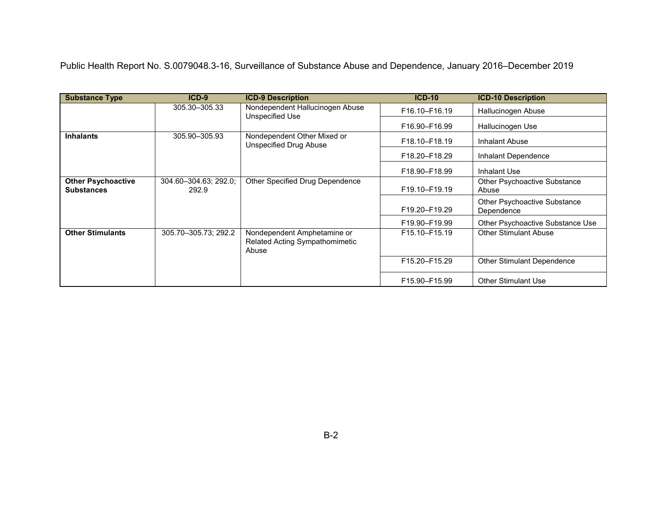| <b>Substance Type</b>                          | $ICD-9$                        | <b>ICD-9 Description</b>                                               | <b>ICD-10</b> | <b>ICD-10 Description</b>                  |
|------------------------------------------------|--------------------------------|------------------------------------------------------------------------|---------------|--------------------------------------------|
|                                                | 305.30 - 305.33                | Nondependent Hallucinogen Abuse<br>Unspecified Use                     | F16.10-F16.19 | Hallucinogen Abuse                         |
|                                                |                                |                                                                        | F16.90-F16.99 | Hallucinogen Use                           |
| <b>Inhalants</b>                               | 305.90 - 305.93                | Nondependent Other Mixed or<br><b>Unspecified Drug Abuse</b>           | F18.10-F18.19 | Inhalant Abuse                             |
|                                                |                                |                                                                        | F18.20-F18.29 | Inhalant Dependence                        |
|                                                |                                |                                                                        | F18.90-F18.99 | Inhalant Use                               |
| <b>Other Psychoactive</b><br><b>Substances</b> | 304.60-304.63; 292.0;<br>292.9 | Other Specified Drug Dependence                                        | F19.10-F19.19 | Other Psychoactive Substance<br>Abuse      |
|                                                |                                |                                                                        | F19.20-F19.29 | Other Psychoactive Substance<br>Dependence |
|                                                |                                |                                                                        | F19.90-F19.99 | Other Psychoactive Substance Use           |
| <b>Other Stimulants</b>                        | 305.70-305.73; 292.2           | Nondependent Amphetamine or<br>Related Acting Sympathomimetic<br>Abuse | F15.10-F15.19 | <b>Other Stimulant Abuse</b>               |
|                                                |                                |                                                                        | F15.20-F15.29 | Other Stimulant Dependence                 |
|                                                |                                |                                                                        | F15.90-F15.99 | <b>Other Stimulant Use</b>                 |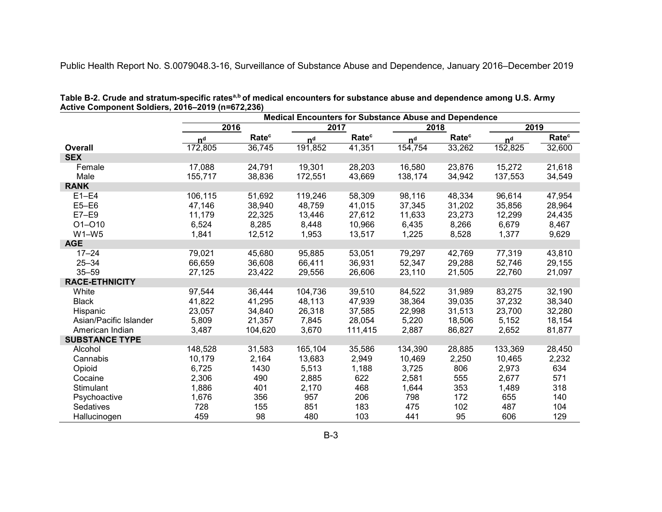|                        | <b>Medical Encounters for Substance Abuse and Dependence</b> |                   |                |                   |                |                   |                |                   |
|------------------------|--------------------------------------------------------------|-------------------|----------------|-------------------|----------------|-------------------|----------------|-------------------|
|                        | 2016                                                         |                   |                | 2017              | 2018           |                   | 2019           |                   |
|                        | n <sup>d</sup>                                               | Rate <sup>c</sup> | n <sup>d</sup> | Rate <sup>c</sup> | n <sup>d</sup> | Rate <sup>c</sup> | n <sup>d</sup> | Rate <sup>c</sup> |
| <b>Overall</b>         | 172,805                                                      | 36,745            | 191,852        | 41,351            | 154,754        | 33,262            | 152,825        | 32,600            |
| <b>SEX</b>             |                                                              |                   |                |                   |                |                   |                |                   |
| Female                 | 17,088                                                       | 24,791            | 19,301         | 28,203            | 16,580         | 23,876            | 15,272         | 21,618            |
| Male                   | 155,717                                                      | 38,836            | 172,551        | 43,669            | 138,174        | 34,942            | 137,553        | 34,549            |
| <b>RANK</b>            |                                                              |                   |                |                   |                |                   |                |                   |
| $E1-E4$                | 106,115                                                      | 51,692            | 119,246        | 58,309            | 98,116         | 48,334            | 96,614         | 47,954            |
| $E5-E6$                | 47,146                                                       | 38,940            | 48,759         | 41,015            | 37,345         | 31,202            | 35,856         | 28,964            |
| $E7-E9$                | 11,179                                                       | 22,325            | 13,446         | 27,612            | 11,633         | 23,273            | 12,299         | 24,435            |
| $O1 - O10$             | 6,524                                                        | 8,285             | 8,448          | 10,966            | 6,435          | 8,266             | 6,679          | 8,467             |
| $W1-W5$                | 1,841                                                        | 12,512            | 1,953          | 13,517            | 1,225          | 8,528             | 1,377          | 9,629             |
| <b>AGE</b>             |                                                              |                   |                |                   |                |                   |                |                   |
| $17 - 24$              | 79,021                                                       | 45,680            | 95,885         | 53,051            | 79,297         | 42,769            | 77,319         | 43,810            |
| $25 - 34$              | 66,659                                                       | 36,608            | 66,411         | 36,931            | 52,347         | 29,288            | 52,746         | 29,155            |
| $35 - 59$              | 27,125                                                       | 23,422            | 29,556         | 26,606            | 23,110         | 21,505            | 22,760         | 21,097            |
| <b>RACE-ETHNICITY</b>  |                                                              |                   |                |                   |                |                   |                |                   |
| White                  | 97,544                                                       | 36,444            | 104,736        | 39,510            | 84,522         | 31,989            | 83,275         | 32,190            |
| <b>Black</b>           | 41,822                                                       | 41,295            | 48,113         | 47,939            | 38,364         | 39,035            | 37,232         | 38,340            |
| Hispanic               | 23,057                                                       | 34,840            | 26,318         | 37,585            | 22,998         | 31,513            | 23,700         | 32,280            |
| Asian/Pacific Islander | 5,809                                                        | 21,357            | 7,845          | 28,054            | 5,220          | 18,506            | 5,152          | 18,154            |
| American Indian        | 3,487                                                        | 104,620           | 3,670          | 111,415           | 2,887          | 86,827            | 2,652          | 81,877            |
| <b>SUBSTANCE TYPE</b>  |                                                              |                   |                |                   |                |                   |                |                   |
| Alcohol                | 148,528                                                      | 31,583            | 165,104        | 35,586            | 134,390        | 28,885            | 133,369        | 28,450            |
| Cannabis               | 10,179                                                       | 2,164             | 13,683         | 2,949             | 10,469         | 2,250             | 10,465         | 2,232             |
| Opioid                 | 6,725                                                        | 1430              | 5,513          | 1,188             | 3,725          | 806               | 2,973          | 634               |
| Cocaine                | 2,306                                                        | 490               | 2,885          | 622               | 2,581          | 555               | 2,677          | 571               |
| Stimulant              | 1,886                                                        | 401               | 2,170          | 468               | 1,644          | 353               | 1,489          | 318               |
| Psychoactive           | 1,676                                                        | 356               | 957            | 206               | 798            | 172               | 655            | 140               |
| Sedatives              | 728                                                          | 155               | 851            | 183               | 475            | 102               | 487            | 104               |
| Hallucinogen           | 459                                                          | 98                | 480            | 103               | 441            | 95                | 606            | 129               |

Table B-2. Crude and stratum-specific rates<sup>a,b</sup> of medical encounters for substance abuse and dependence among U.S. Army **Active Component Soldiers, 2016–2019 (n=672,236)**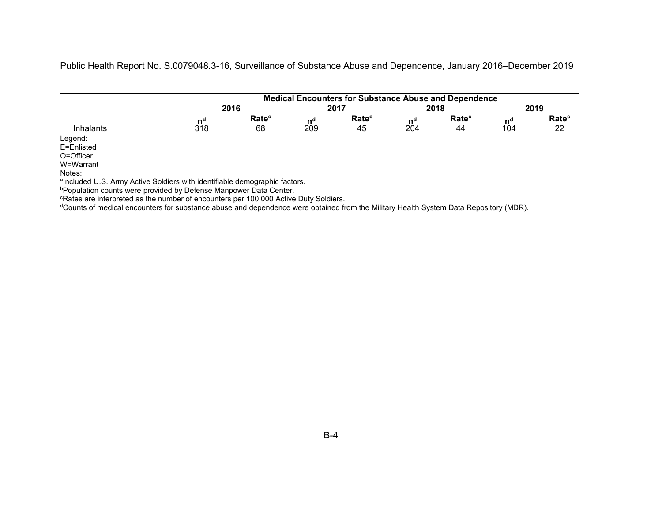|                  |     |                   |     | <b>Medical Encounters for Substance Abuse and Dependence</b> |     |                   |     |                   |  |
|------------------|-----|-------------------|-----|--------------------------------------------------------------|-----|-------------------|-----|-------------------|--|
|                  |     | 2016              |     | 2017                                                         |     | 2018              |     | 2019              |  |
|                  | nº  | Rate <sup>c</sup> | n¤  | Rate <sup>c</sup>                                            | nº  | Rate <sup>c</sup> |     | Rate <sup>c</sup> |  |
| <b>Inhalants</b> | 318 | 68                | 209 | 45                                                           | 204 | 44                | 104 | ົ                 |  |
| Legend:          |     |                   |     |                                                              |     |                   |     |                   |  |
| E=Enlisted       |     |                   |     |                                                              |     |                   |     |                   |  |
| O=Officer        |     |                   |     |                                                              |     |                   |     |                   |  |
| W=Warrant        |     |                   |     |                                                              |     |                   |     |                   |  |

Notes:

aIncluded U.S. Army Active Soldiers with identifiable demographic factors.

**PPopulation counts were provided by Defense Manpower Data Center.** 

cRates are interpreted as the number of encounters per 100,000 Active Duty Soldiers.

dCounts of medical encounters for substance abuse and dependence were obtained from the Military Health System Data Repository (MDR).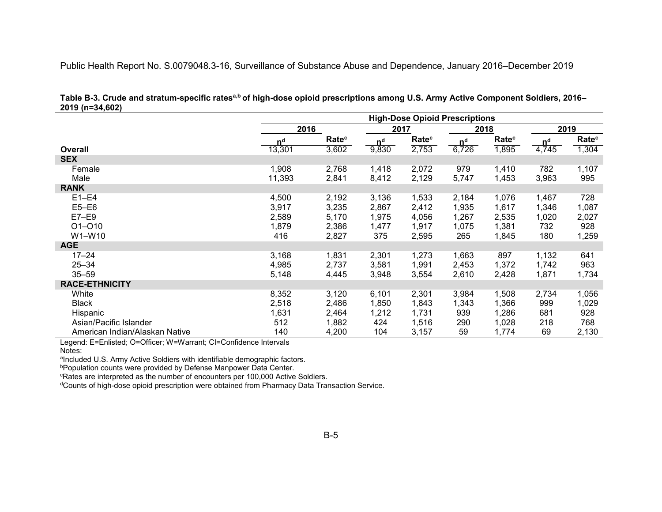|                                | <b>High-Dose Opioid Prescriptions</b> |                   |                |                   |                |                   |                |                   |  |
|--------------------------------|---------------------------------------|-------------------|----------------|-------------------|----------------|-------------------|----------------|-------------------|--|
|                                |                                       | 2016              |                | 2017              |                | 2018              |                | 2019              |  |
|                                | n <sup>d</sup>                        | Rate <sup>c</sup> | n <sup>d</sup> | Rate <sup>c</sup> | n <sup>d</sup> | Rate <sup>c</sup> | n <sup>d</sup> | Rate <sup>c</sup> |  |
| <b>Overall</b>                 | 13,301                                | 3,602             | 9,830          | 2,753             | 6,726          | 1,895             | 4,745          | 1,304             |  |
| <b>SEX</b>                     |                                       |                   |                |                   |                |                   |                |                   |  |
| Female                         | 1,908                                 | 2,768             | 1,418          | 2,072             | 979            | 1,410             | 782            | 1,107             |  |
| Male                           | 11,393                                | 2,841             | 8,412          | 2,129             | 5,747          | 1,453             | 3,963          | 995               |  |
| <b>RANK</b>                    |                                       |                   |                |                   |                |                   |                |                   |  |
| $E1-E4$                        | 4,500                                 | 2,192             | 3,136          | 1,533             | 2,184          | 1,076             | 1,467          | 728               |  |
| $E5-E6$                        | 3,917                                 | 3,235             | 2,867          | 2,412             | 1,935          | 1,617             | 1,346          | 1,087             |  |
| $E7-E9$                        | 2,589                                 | 5,170             | 1,975          | 4,056             | 1,267          | 2,535             | 1,020          | 2,027             |  |
| $O1 - O10$                     | 1,879                                 | 2,386             | 1,477          | 1,917             | 1,075          | 1,381             | 732            | 928               |  |
| W1-W10                         | 416                                   | 2,827             | 375            | 2,595             | 265            | 1,845             | 180            | 1,259             |  |
| <b>AGE</b>                     |                                       |                   |                |                   |                |                   |                |                   |  |
| $17 - 24$                      | 3,168                                 | 1,831             | 2,301          | 1,273             | 1,663          | 897               | 1,132          | 641               |  |
| $25 - 34$                      | 4,985                                 | 2,737             | 3,581          | 1,991             | 2,453          | 1,372             | 1,742          | 963               |  |
| $35 - 59$                      | 5,148                                 | 4,445             | 3,948          | 3,554             | 2,610          | 2,428             | 1,871          | 1,734             |  |
| <b>RACE-ETHNICITY</b>          |                                       |                   |                |                   |                |                   |                |                   |  |
| White                          | 8,352                                 | 3,120             | 6,101          | 2,301             | 3,984          | 1,508             | 2,734          | 1,056             |  |
| <b>Black</b>                   | 2,518                                 | 2,486             | 1,850          | 1,843             | 1,343          | 1,366             | 999            | 1,029             |  |
| Hispanic                       | 1,631                                 | 2,464             | 1,212          | 1,731             | 939            | 1,286             | 681            | 928               |  |
| Asian/Pacific Islander         | 512                                   | 1,882             | 424            | 1,516             | 290            | 1,028             | 218            | 768               |  |
| American Indian/Alaskan Native | 140                                   | 4,200             | 104            | 3,157             | 59             | 1,774             | 69             | 2,130             |  |

Table B-3. Crude and stratum-specific rates<sup>a,b</sup> of high-dose opioid prescriptions among U.S. Army Active Component Soldiers, 2016– **2019 (n=34,602)**

Legend: E=Enlisted; O=Officer; W=Warrant; CI=Confidence Intervals

aIncluded U.S. Army Active Soldiers with identifiable demographic factors.

bPopulation counts were provided by Defense Manpower Data Center.

cRates are interpreted as the number of encounters per 100,000 Active Soldiers.

dCounts of high-dose opioid prescription were obtained from Pharmacy Data Transaction Service.

Notes: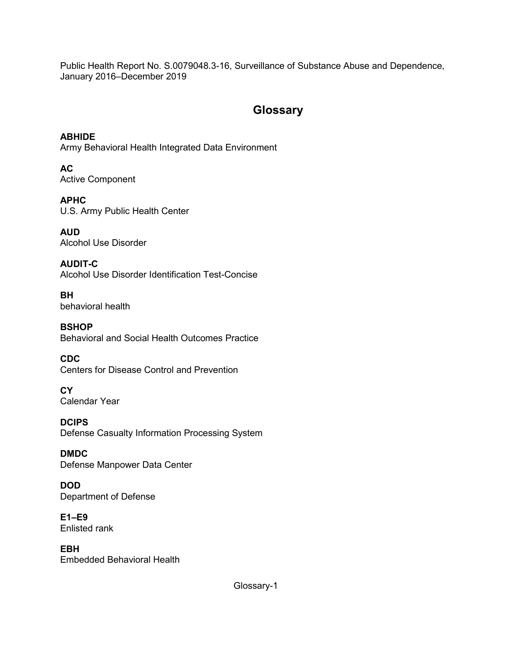# **Glossary**

**ABHIDE** Army Behavioral Health Integrated Data Environment

**AC** Active Component

**APHC** U.S. Army Public Health Center

**AUD** Alcohol Use Disorder

**AUDIT-C** Alcohol Use Disorder Identification Test-Concise

**BH** behavioral health

**BSHOP** Behavioral and Social Health Outcomes Practice

**CDC** Centers for Disease Control and Prevention

**CY** Calendar Year

**DCIPS** Defense Casualty Information Processing System

**DMDC** Defense Manpower Data Center

**DOD** Department of Defense

**E1–E9** Enlisted rank

**EBH** Embedded Behavioral Health

Glossary-1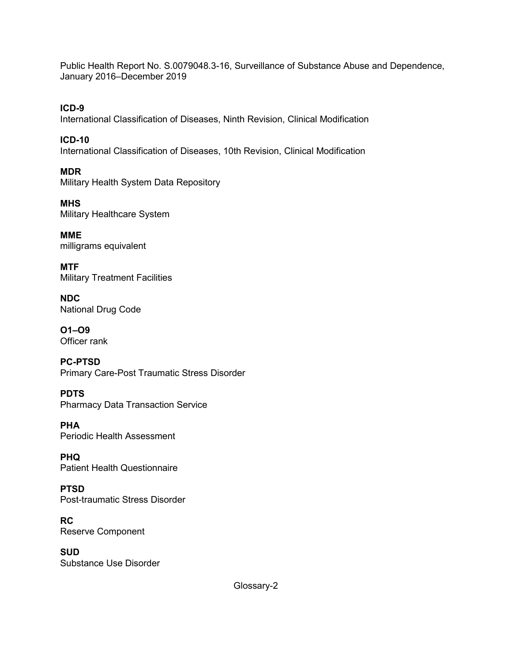**ICD-9** International Classification of Diseases, Ninth Revision, Clinical Modification

**ICD-10** International Classification of Diseases, 10th Revision, Clinical Modification

**MDR** Military Health System Data Repository

**MHS** Military Healthcare System

**MME** milligrams equivalent

**MTF** Military Treatment Facilities

**NDC** National Drug Code

**O1–O9** Officer rank

**PC-PTSD** Primary Care-Post Traumatic Stress Disorder

**PDTS** Pharmacy Data Transaction Service

**PHA** Periodic Health Assessment

**PHQ** Patient Health Questionnaire

**PTSD** Post-traumatic Stress Disorder

**RC** Reserve Component

**SUD** Substance Use Disorder

Glossary-2